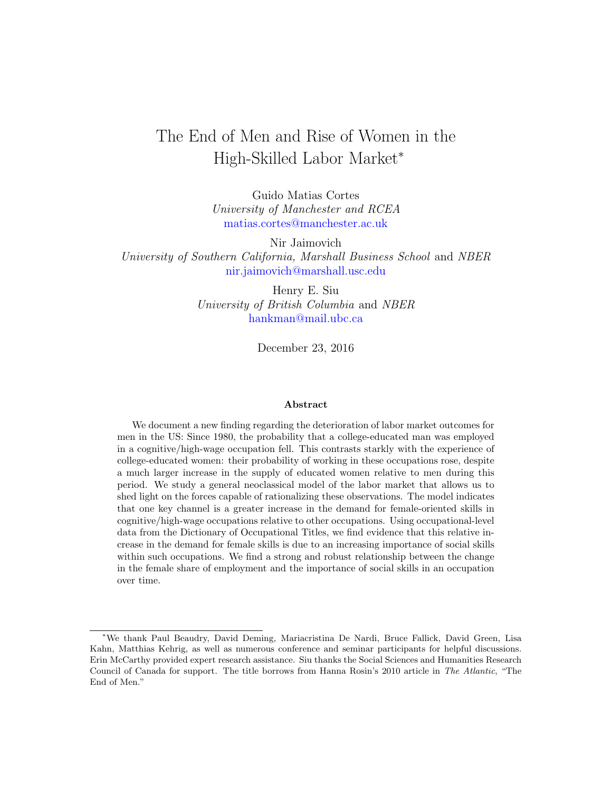# <span id="page-0-0"></span>The End of Men and Rise of Women in the High-Skilled Labor Market<sup>∗</sup>

Guido Matias Cortes University of Manchester and RCEA [matias.cortes@manchester.ac.uk](mailto:matias.cortes@manchester.ac.uk)

Nir Jaimovich University of Southern California, Marshall Business School and NBER [nir.jaimovich@marshall.usc.edu](mailto:nir.jaimovich@marshall.usc.edu)

> Henry E. Siu University of British Columbia and NBER [hankman@mail.ubc.ca](mailto:hankman@mail.ubc.ca)

> > December 23, 2016

#### Abstract

We document a new finding regarding the deterioration of labor market outcomes for men in the US: Since 1980, the probability that a college-educated man was employed in a cognitive/high-wage occupation fell. This contrasts starkly with the experience of college-educated women: their probability of working in these occupations rose, despite a much larger increase in the supply of educated women relative to men during this period. We study a general neoclassical model of the labor market that allows us to shed light on the forces capable of rationalizing these observations. The model indicates that one key channel is a greater increase in the demand for female-oriented skills in cognitive/high-wage occupations relative to other occupations. Using occupational-level data from the Dictionary of Occupational Titles, we find evidence that this relative increase in the demand for female skills is due to an increasing importance of social skills within such occupations. We find a strong and robust relationship between the change in the female share of employment and the importance of social skills in an occupation over time.

<sup>∗</sup>We thank Paul Beaudry, David Deming, Mariacristina De Nardi, Bruce Fallick, David Green, Lisa Kahn, Matthias Kehrig, as well as numerous conference and seminar participants for helpful discussions. Erin McCarthy provided expert research assistance. Siu thanks the Social Sciences and Humanities Research Council of Canada for support. The title borrows from Hanna Rosin's 2010 article in The Atlantic, "The End of Men."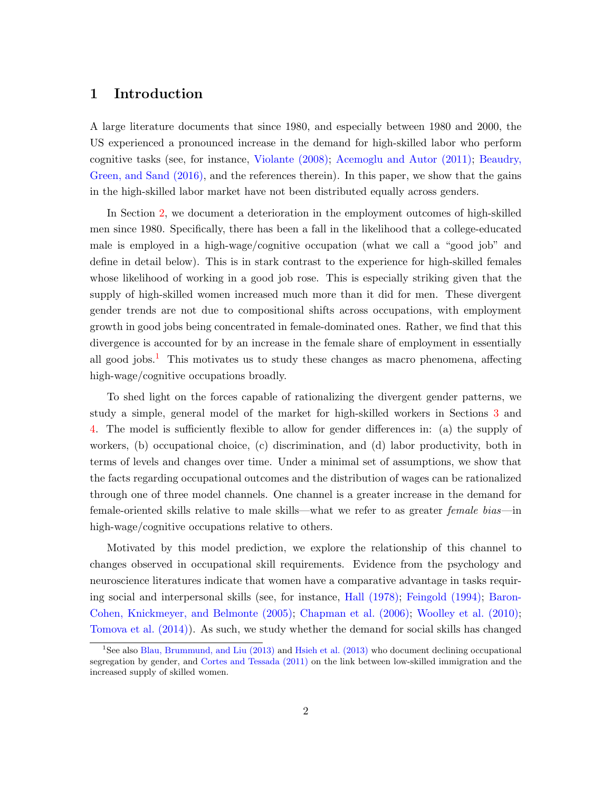## 1 Introduction

A large literature documents that since 1980, and especially between 1980 and 2000, the US experienced a pronounced increase in the demand for high-skilled labor who perform cognitive tasks (see, for instance, [Violante](#page-38-0) [\(2008\)](#page-38-0); [Acemoglu and Autor](#page-35-0) [\(2011\)](#page-35-0); [Beaudry,](#page-35-1) [Green, and Sand](#page-35-1) [\(2016\)](#page-35-1), and the references therein). In this paper, we show that the gains in the high-skilled labor market have not been distributed equally across genders.

In Section [2,](#page-2-0) we document a deterioration in the employment outcomes of high-skilled men since 1980. Specifically, there has been a fall in the likelihood that a college-educated male is employed in a high-wage/cognitive occupation (what we call a "good job" and define in detail below). This is in stark contrast to the experience for high-skilled females whose likelihood of working in a good job rose. This is especially striking given that the supply of high-skilled women increased much more than it did for men. These divergent gender trends are not due to compositional shifts across occupations, with employment growth in good jobs being concentrated in female-dominated ones. Rather, we find that this divergence is accounted for by an increase in the female share of employment in essentially all good jobs.<sup>[1](#page-0-0)</sup> This motivates us to study these changes as macro phenomena, affecting high-wage/cognitive occupations broadly.

To shed light on the forces capable of rationalizing the divergent gender patterns, we study a simple, general model of the market for high-skilled workers in Sections [3](#page-7-0) and [4.](#page-10-0) The model is sufficiently flexible to allow for gender differences in: (a) the supply of workers, (b) occupational choice, (c) discrimination, and (d) labor productivity, both in terms of levels and changes over time. Under a minimal set of assumptions, we show that the facts regarding occupational outcomes and the distribution of wages can be rationalized through one of three model channels. One channel is a greater increase in the demand for female-oriented skills relative to male skills—what we refer to as greater *female bias*—in high-wage/cognitive occupations relative to others.

Motivated by this model prediction, we explore the relationship of this channel to changes observed in occupational skill requirements. Evidence from the psychology and neuroscience literatures indicate that women have a comparative advantage in tasks requiring social and interpersonal skills (see, for instance, [Hall](#page-37-0) [\(1978\)](#page-37-0); [Feingold](#page-36-0) [\(1994\)](#page-36-0); [Baron-](#page-35-2)[Cohen, Knickmeyer, and Belmonte](#page-35-2) [\(2005\)](#page-35-2); [Chapman et al.](#page-36-1) [\(2006\)](#page-36-1); [Woolley et al.](#page-38-1) [\(2010\)](#page-38-1); [Tomova et al.](#page-38-2) [\(2014\)](#page-38-2)). As such, we study whether the demand for social skills has changed

<sup>&</sup>lt;sup>1</sup>See also [Blau, Brummund, and Liu](#page-35-3) [\(2013\)](#page-37-1) and [Hsieh et al.](#page-37-1) (2013) who document declining occupational segregation by gender, and [Cortes and Tessada](#page-36-2) [\(2011\)](#page-36-2) on the link between low-skilled immigration and the increased supply of skilled women.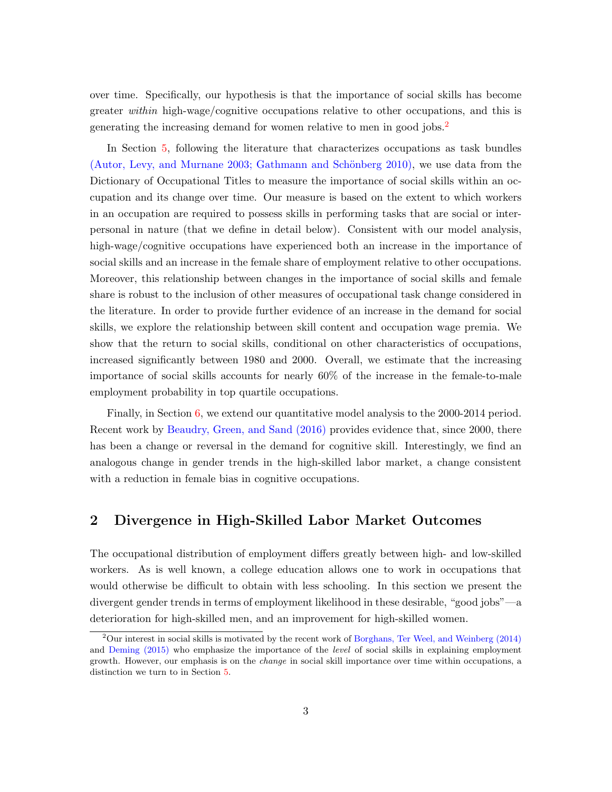over time. Specifically, our hypothesis is that the importance of social skills has become greater within high-wage/cognitive occupations relative to other occupations, and this is generating the increasing demand for women relative to men in good jobs.<sup>[2](#page-0-0)</sup>

In Section [5,](#page-16-0) following the literature that characterizes occupations as task bundles [\(Autor, Levy, and Murnane](#page-35-4) [2003;](#page-35-4) Gathmann and Schönberg [2010\)](#page-36-3), we use data from the Dictionary of Occupational Titles to measure the importance of social skills within an occupation and its change over time. Our measure is based on the extent to which workers in an occupation are required to possess skills in performing tasks that are social or interpersonal in nature (that we define in detail below). Consistent with our model analysis, high-wage/cognitive occupations have experienced both an increase in the importance of social skills and an increase in the female share of employment relative to other occupations. Moreover, this relationship between changes in the importance of social skills and female share is robust to the inclusion of other measures of occupational task change considered in the literature. In order to provide further evidence of an increase in the demand for social skills, we explore the relationship between skill content and occupation wage premia. We show that the return to social skills, conditional on other characteristics of occupations, increased significantly between 1980 and 2000. Overall, we estimate that the increasing importance of social skills accounts for nearly 60% of the increase in the female-to-male employment probability in top quartile occupations.

Finally, in Section [6,](#page-27-0) we extend our quantitative model analysis to the 2000-2014 period. Recent work by [Beaudry, Green, and Sand](#page-35-1) [\(2016\)](#page-35-1) provides evidence that, since 2000, there has been a change or reversal in the demand for cognitive skill. Interestingly, we find an analogous change in gender trends in the high-skilled labor market, a change consistent with a reduction in female bias in cognitive occupations.

## <span id="page-2-0"></span>2 Divergence in High-Skilled Labor Market Outcomes

The occupational distribution of employment differs greatly between high- and low-skilled workers. As is well known, a college education allows one to work in occupations that would otherwise be difficult to obtain with less schooling. In this section we present the divergent gender trends in terms of employment likelihood in these desirable, "good jobs"—a deterioration for high-skilled men, and an improvement for high-skilled women.

 $2$ Our interest in social skills is motivated by the recent work of [Borghans, Ter Weel, and Weinberg](#page-36-4) [\(2014\)](#page-36-4) and [Deming](#page-36-5) [\(2015\)](#page-36-5) who emphasize the importance of the *level* of social skills in explaining employment growth. However, our emphasis is on the *change* in social skill importance over time within occupations, a distinction we turn to in Section [5.](#page-16-0)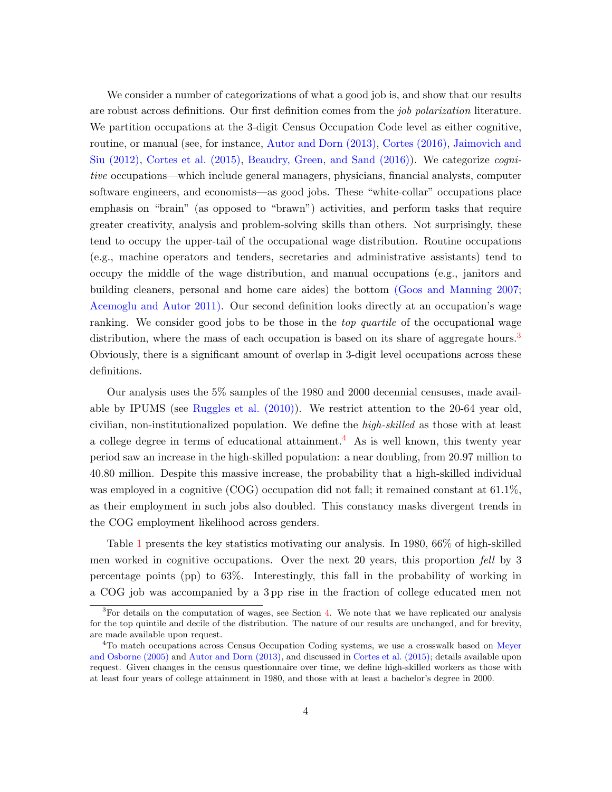We consider a number of categorizations of what a good job is, and show that our results are robust across definitions. Our first definition comes from the job polarization literature. We partition occupations at the 3-digit Census Occupation Code level as either cognitive, routine, or manual (see, for instance, [Autor and Dorn](#page-35-5) [\(2013\)](#page-35-5), [Cortes](#page-36-6) [\(2016\)](#page-36-6), [Jaimovich and](#page-37-2) [Siu](#page-37-2) [\(2012\)](#page-37-2), [Cortes et al.](#page-36-7) [\(2015\)](#page-36-7), [Beaudry, Green, and Sand](#page-35-1) [\(2016\)](#page-35-1)). We categorize *cogni*tive occupations—which include general managers, physicians, financial analysts, computer software engineers, and economists—as good jobs. These "white-collar" occupations place emphasis on "brain" (as opposed to "brawn") activities, and perform tasks that require greater creativity, analysis and problem-solving skills than others. Not surprisingly, these tend to occupy the upper-tail of the occupational wage distribution. Routine occupations (e.g., machine operators and tenders, secretaries and administrative assistants) tend to occupy the middle of the wage distribution, and manual occupations (e.g., janitors and building cleaners, personal and home care aides) the bottom [\(Goos and Manning](#page-37-3) [2007;](#page-37-3) [Acemoglu and Autor](#page-35-0) [2011\)](#page-35-0). Our second definition looks directly at an occupation's wage ranking. We consider good jobs to be those in the *top quartile* of the occupational wage distribution, where the mass of each occupation is based on its share of aggregate hours.<sup>[3](#page-0-0)</sup> Obviously, there is a significant amount of overlap in 3-digit level occupations across these definitions.

Our analysis uses the 5% samples of the 1980 and 2000 decennial censuses, made available by IPUMS (see [Ruggles et al.](#page-38-3) [\(2010\)](#page-38-3)). We restrict attention to the 20-64 year old, civilian, non-institutionalized population. We define the high-skilled as those with at least a college degree in terms of educational attainment.<sup>[4](#page-0-0)</sup> As is well known, this twenty year period saw an increase in the high-skilled population: a near doubling, from 20.97 million to 40.80 million. Despite this massive increase, the probability that a high-skilled individual was employed in a cognitive (COG) occupation did not fall; it remained constant at 61.1%, as their employment in such jobs also doubled. This constancy masks divergent trends in the COG employment likelihood across genders.

Table [1](#page-4-0) presents the key statistics motivating our analysis. In 1980, 66% of high-skilled men worked in cognitive occupations. Over the next 20 years, this proportion fell by 3 percentage points (pp) to 63%. Interestingly, this fall in the probability of working in a COG job was accompanied by a 3 pp rise in the fraction of college educated men not

<sup>&</sup>lt;sup>3</sup>For details on the computation of wages, see Section [4.](#page-10-0) We note that we have replicated our analysis for the top quintile and decile of the distribution. The nature of our results are unchanged, and for brevity, are made available upon request.

<sup>&</sup>lt;sup>4</sup>To match occupations across Census Occupation Coding systems, we use a crosswalk based on [Meyer](#page-37-4) [and Osborne](#page-37-4) [\(2005\)](#page-37-4) and [Autor and Dorn](#page-35-5) [\(2013\)](#page-35-5), and discussed in [Cortes et al.](#page-36-7) [\(2015\)](#page-36-7); details available upon request. Given changes in the census questionnaire over time, we define high-skilled workers as those with at least four years of college attainment in 1980, and those with at least a bachelor's degree in 2000.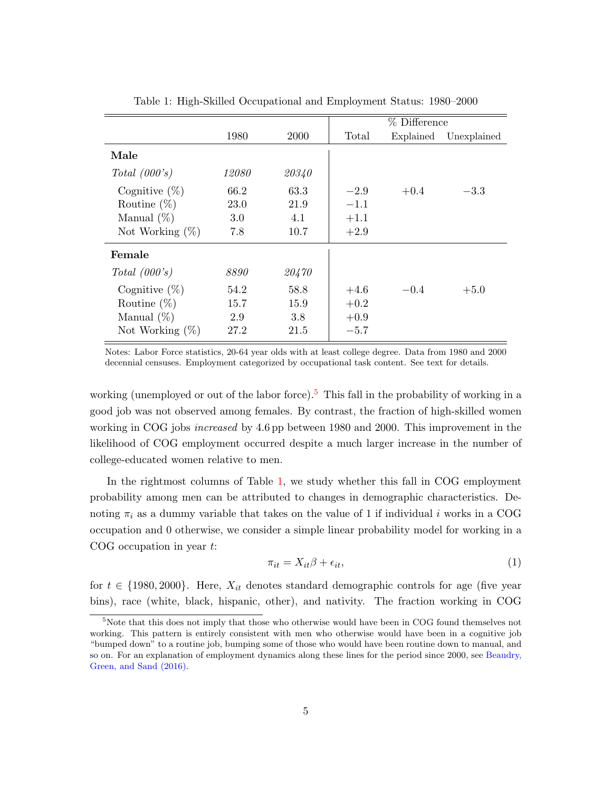|                    |              |       | % Difference |           |             |
|--------------------|--------------|-------|--------------|-----------|-------------|
|                    | 1980         | 2000  | Total        | Explained | Unexplained |
| Male               |              |       |              |           |             |
| Total $(000's)$    | <i>12080</i> | 20340 |              |           |             |
| Cognitive $(\%)$   | 66.2         | 63.3  | $-2.9$       | $+0.4$    | $-3.3$      |
| Routine $(\%)$     | 23.0         | 21.9  | $-1.1$       |           |             |
| Manual $(\%)$      | 3.0          | 4.1   | $+1.1$       |           |             |
| Not Working $(\%)$ | 7.8          | 10.7  | $+2.9$       |           |             |
| Female             |              |       |              |           |             |
| Total $(000's)$    | 8890         | 20470 |              |           |             |
| Cognitive $(\%)$   | 54.2         | 58.8  | $+4.6$       | $-0.4$    | $+5.0$      |
| Routine $(\%)$     | 15.7         | 15.9  | $+0.2$       |           |             |
| Manual $(\%)$      | 2.9          | 3.8   | $+0.9$       |           |             |
| Not Working $(\%)$ | 27.2         | 21.5  | $-5.7$       |           |             |

<span id="page-4-0"></span>Table 1: High-Skilled Occupational and Employment Status: 1980–2000

Notes: Labor Force statistics, 20-64 year olds with at least college degree. Data from 1980 and 2000 decennial censuses. Employment categorized by occupational task content. See text for details.

working (unemployed or out of the labor force).<sup>[5](#page-0-0)</sup> This fall in the probability of working in a good job was not observed among females. By contrast, the fraction of high-skilled women working in COG jobs *increased* by 4.6 pp between 1980 and 2000. This improvement in the likelihood of COG employment occurred despite a much larger increase in the number of college-educated women relative to men.

In the rightmost columns of Table [1,](#page-4-0) we study whether this fall in COG employment probability among men can be attributed to changes in demographic characteristics. Denoting  $\pi_i$  as a dummy variable that takes on the value of 1 if individual i works in a COG occupation and 0 otherwise, we consider a simple linear probability model for working in a COG occupation in year t:

$$
\pi_{it} = X_{it}\beta + \epsilon_{it},\tag{1}
$$

for  $t \in \{1980, 2000\}$ . Here,  $X_{it}$  denotes standard demographic controls for age (five year bins), race (white, black, hispanic, other), and nativity. The fraction working in COG

<sup>&</sup>lt;sup>5</sup>Note that this does not imply that those who otherwise would have been in COG found themselves not working. This pattern is entirely consistent with men who otherwise would have been in a cognitive job "bumped down" to a routine job, bumping some of those who would have been routine down to manual, and so on. For an explanation of employment dynamics along these lines for the period since 2000, see [Beaudry,](#page-35-1) [Green, and Sand](#page-35-1) [\(2016\)](#page-35-1).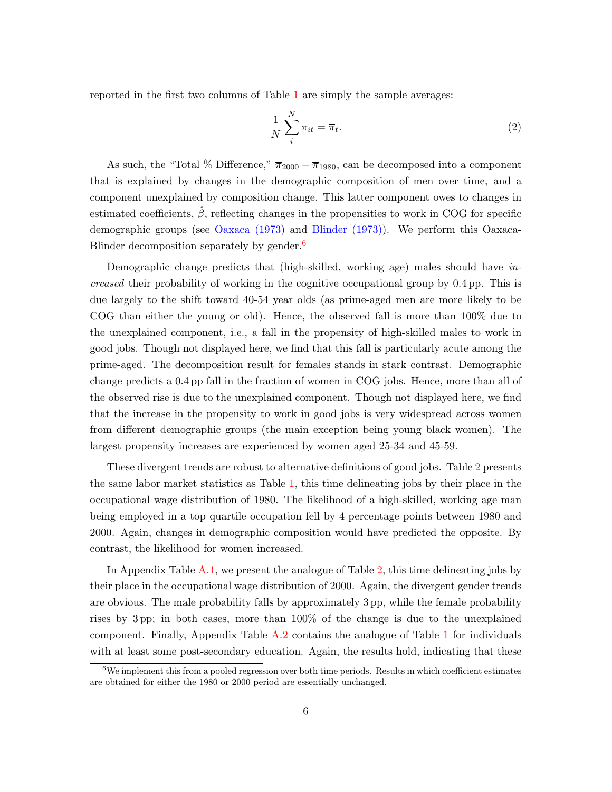reported in the first two columns of Table [1](#page-4-0) are simply the sample averages:

$$
\frac{1}{N} \sum_{i}^{N} \pi_{it} = \overline{\pi}_{t}.
$$
\n(2)

As such, the "Total % Difference,"  $\bar{\pi}_{2000} - \bar{\pi}_{1980}$ , can be decomposed into a component that is explained by changes in the demographic composition of men over time, and a component unexplained by composition change. This latter component owes to changes in estimated coefficients,  $\hat{\beta}$ , reflecting changes in the propensities to work in COG for specific demographic groups (see [Oaxaca](#page-38-4) [\(1973\)](#page-38-4) and [Blinder](#page-35-6) [\(1973\)](#page-35-6)). We perform this Oaxaca-Blinder decomposition separately by gender.<sup>[6](#page-0-0)</sup>

Demographic change predicts that (high-skilled, working age) males should have *in*creased their probability of working in the cognitive occupational group by 0.4 pp. This is due largely to the shift toward 40-54 year olds (as prime-aged men are more likely to be COG than either the young or old). Hence, the observed fall is more than 100% due to the unexplained component, i.e., a fall in the propensity of high-skilled males to work in good jobs. Though not displayed here, we find that this fall is particularly acute among the prime-aged. The decomposition result for females stands in stark contrast. Demographic change predicts a 0.4 pp fall in the fraction of women in COG jobs. Hence, more than all of the observed rise is due to the unexplained component. Though not displayed here, we find that the increase in the propensity to work in good jobs is very widespread across women from different demographic groups (the main exception being young black women). The largest propensity increases are experienced by women aged 25-34 and 45-59.

These divergent trends are robust to alternative definitions of good jobs. Table [2](#page-6-0) presents the same labor market statistics as Table [1,](#page-4-0) this time delineating jobs by their place in the occupational wage distribution of 1980. The likelihood of a high-skilled, working age man being employed in a top quartile occupation fell by 4 percentage points between 1980 and 2000. Again, changes in demographic composition would have predicted the opposite. By contrast, the likelihood for women increased.

In Appendix Table [A.1,](#page-4-0) we present the analogue of Table [2,](#page-6-0) this time delineating jobs by their place in the occupational wage distribution of 2000. Again, the divergent gender trends are obvious. The male probability falls by approximately 3 pp, while the female probability rises by 3 pp; in both cases, more than 100% of the change is due to the unexplained component. Finally, Appendix Table [A.2](#page-6-0) contains the analogue of Table [1](#page-4-0) for individuals with at least some post-secondary education. Again, the results hold, indicating that these

 $6W$ e implement this from a pooled regression over both time periods. Results in which coefficient estimates are obtained for either the 1980 or 2000 period are essentially unchanged.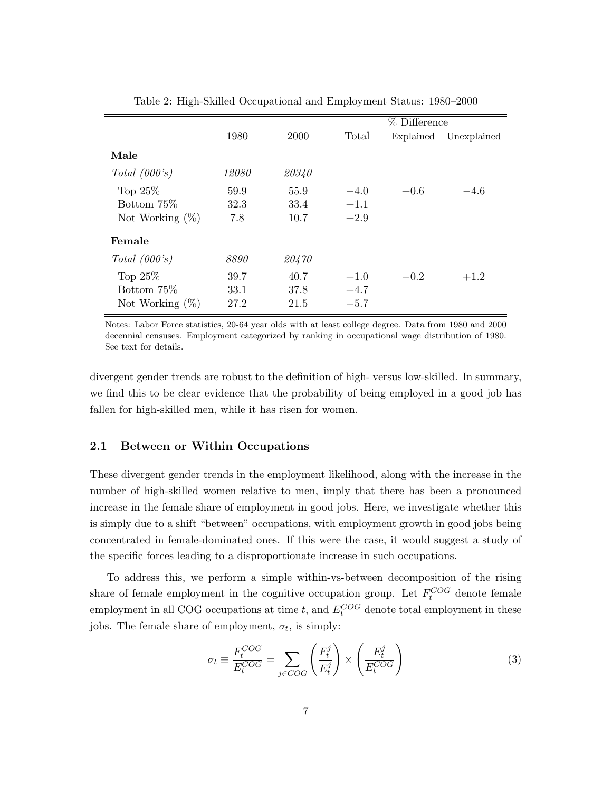|                    |       |       | % Difference |           |             |
|--------------------|-------|-------|--------------|-----------|-------------|
|                    | 1980  | 2000  | Total        | Explained | Unexplained |
| Male               |       |       |              |           |             |
| Total $(000's)$    | 12080 | 20340 |              |           |             |
| Top $25\%$         | 59.9  | 55.9  | $-4.0$       | $+0.6$    | $-4.6$      |
| Bottom 75\%        | 32.3  | 33.4  | $+1.1$       |           |             |
| Not Working $(\%)$ | 7.8   | 10.7  | $+2.9$       |           |             |
| Female             |       |       |              |           |             |
| Total $(000's)$    | 8890  | 20470 |              |           |             |
| Top $25\%$         | 39.7  | 40.7  | $+1.0$       | $-0.2$    | $+1.2$      |
| Bottom 75\%        | 33.1  | 37.8  | $+4.7$       |           |             |
| Not Working $(\%)$ | 27.2  | 21.5  | $-5.7$       |           |             |

<span id="page-6-0"></span>Table 2: High-Skilled Occupational and Employment Status: 1980–2000

Notes: Labor Force statistics, 20-64 year olds with at least college degree. Data from 1980 and 2000 decennial censuses. Employment categorized by ranking in occupational wage distribution of 1980. See text for details.

divergent gender trends are robust to the definition of high- versus low-skilled. In summary, we find this to be clear evidence that the probability of being employed in a good job has fallen for high-skilled men, while it has risen for women.

#### 2.1 Between or Within Occupations

These divergent gender trends in the employment likelihood, along with the increase in the number of high-skilled women relative to men, imply that there has been a pronounced increase in the female share of employment in good jobs. Here, we investigate whether this is simply due to a shift "between" occupations, with employment growth in good jobs being concentrated in female-dominated ones. If this were the case, it would suggest a study of the specific forces leading to a disproportionate increase in such occupations.

To address this, we perform a simple within-vs-between decomposition of the rising share of female employment in the cognitive occupation group. Let  $F_t^{COG}$  denote female employment in all COG occupations at time t, and  $E_t^{COG}$  denote total employment in these jobs. The female share of employment,  $\sigma_t$ , is simply:

$$
\sigma_t \equiv \frac{F_t^{COG}}{E_t^{COG}} = \sum_{j \in COG} \left(\frac{F_t^j}{E_t^j}\right) \times \left(\frac{E_t^j}{E_t^{COG}}\right) \tag{3}
$$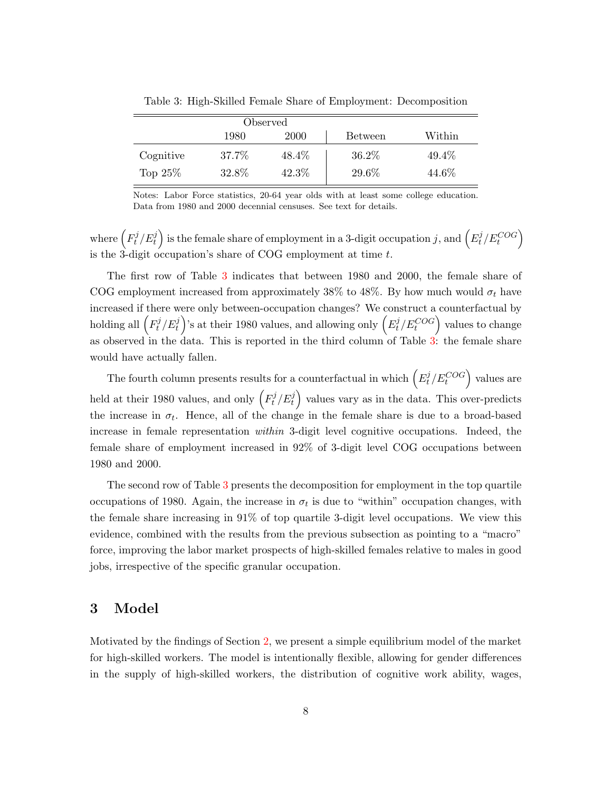|            |       | Observed    |         |        |
|------------|-------|-------------|---------|--------|
|            | 1980  | <b>2000</b> | Between | Within |
| Cognitive  | 37.7% | 48.4%       | 36.2%   | 49.4\% |
| Top $25\%$ | 32.8% | 42.3%       | 29.6%   | 44.6%  |

<span id="page-7-1"></span>Table 3: High-Skilled Female Share of Employment: Decomposition

Notes: Labor Force statistics, 20-64 year olds with at least some college education. Data from 1980 and 2000 decennial censuses. See text for details.

where  $\left(F_t^j\right)$  $\mathcal{F}_t^{j} / E_t^{j} \big)$  is the female share of employment in a 3-digit occupation  $j,$  and  $\left( E_t^{j} \right)$  $\frac{d}{dt}/E_t^{COG}\Big)$ is the 3-digit occupation's share of COG employment at time  $t$ .

The first row of Table [3](#page-7-1) indicates that between 1980 and 2000, the female share of COG employment increased from approximately 38% to 48%. By how much would  $\sigma_t$  have increased if there were only between-occupation changes? We construct a counterfactual by holding all  $\left( F_{t}^{j}\right)$  $\mathcal{F}_t^{j} / E_t^{j}$  's at their 1980 values, and allowing only  $\left( E_t^{j} \right)$  $\frac{d}{dt}/E_t^{COG}$  values to change as observed in the data. This is reported in the third column of Table  $3$ : the female share would have actually fallen.

The fourth column presents results for a counterfactual in which  $(E_t^j)$  $\frac{d}{dt}/E_t^{COG}$  values are held at their 1980 values, and only  $(F_t^j)$  $t^{ij}_{t}/E_t^j$  values vary as in the data. This over-predicts the increase in  $\sigma_t$ . Hence, all of the change in the female share is due to a broad-based increase in female representation within 3-digit level cognitive occupations. Indeed, the female share of employment increased in 92% of 3-digit level COG occupations between 1980 and 2000.

The second row of Table [3](#page-7-1) presents the decomposition for employment in the top quartile occupations of 1980. Again, the increase in  $\sigma_t$  is due to "within" occupation changes, with the female share increasing in 91% of top quartile 3-digit level occupations. We view this evidence, combined with the results from the previous subsection as pointing to a "macro" force, improving the labor market prospects of high-skilled females relative to males in good jobs, irrespective of the specific granular occupation.

## <span id="page-7-0"></span>3 Model

Motivated by the findings of Section [2,](#page-2-0) we present a simple equilibrium model of the market for high-skilled workers. The model is intentionally flexible, allowing for gender differences in the supply of high-skilled workers, the distribution of cognitive work ability, wages,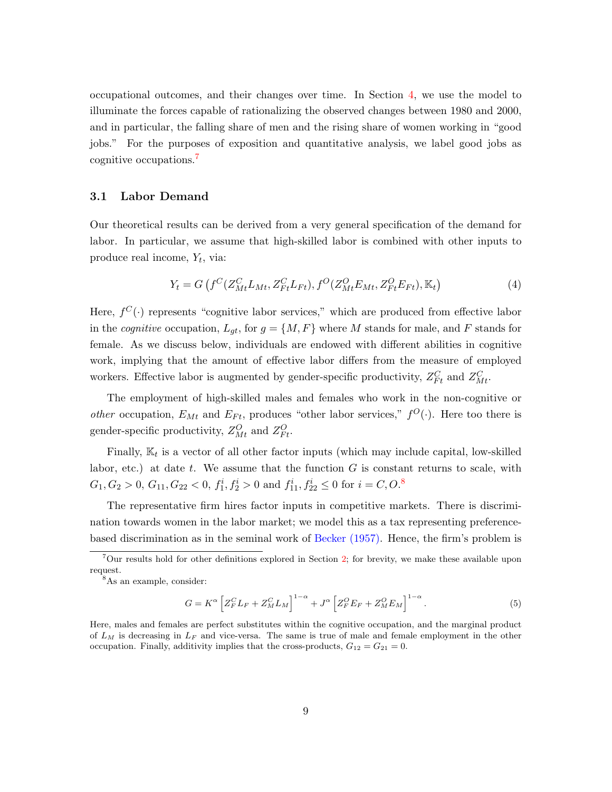occupational outcomes, and their changes over time. In Section [4,](#page-10-0) we use the model to illuminate the forces capable of rationalizing the observed changes between 1980 and 2000, and in particular, the falling share of men and the rising share of women working in "good jobs." For the purposes of exposition and quantitative analysis, we label good jobs as cognitive occupations.[7](#page-0-0)

#### 3.1 Labor Demand

Our theoretical results can be derived from a very general specification of the demand for labor. In particular, we assume that high-skilled labor is combined with other inputs to produce real income,  $Y_t$ , via:

$$
Y_t = G\left(f^C(Z_{Mt}^C L_{Mt}, Z_{Ft}^C L_{Ft}), f^O(Z_{Mt}^O E_{Mt}, Z_{Ft}^O E_{Ft}), \mathbb{K}_t\right)
$$
(4)

Here,  $f^C(\cdot)$  represents "cognitive labor services," which are produced from effective labor in the *cognitive* occupation,  $L_{qt}$ , for  $g = \{M, F\}$  where M stands for male, and F stands for female. As we discuss below, individuals are endowed with different abilities in cognitive work, implying that the amount of effective labor differs from the measure of employed workers. Effective labor is augmented by gender-specific productivity,  $Z_{Ft}^C$  and  $Z_{Mt}^C$ .

The employment of high-skilled males and females who work in the non-cognitive or *other* occupation,  $E_{Mt}$  and  $E_{Ft}$ , produces "other labor services,"  $f^{O}(\cdot)$ . Here too there is gender-specific productivity,  $Z_{Mt}^O$  and  $Z_{Ft}^O$ .

Finally,  $\mathbb{K}_t$  is a vector of all other factor inputs (which may include capital, low-skilled labor, etc.) at date  $t$ . We assume that the function  $G$  is constant returns to scale, with  $G_1, G_2 > 0, G_{11}, G_{22} < 0, f_1^i, f_2^i > 0$  and  $f_{11}^i, f_{22}^i \leq 0$  for  $i = C, O$ .<sup>[8](#page-0-0)</sup>

The representative firm hires factor inputs in competitive markets. There is discrimination towards women in the labor market; we model this as a tax representing preferencebased discrimination as in the seminal work of [Becker](#page-35-7) [\(1957\)](#page-35-7). Hence, the firm's problem is

$$
G = K^{\alpha} \left[ Z_F^C L_F + Z_M^C L_M \right]^{1-\alpha} + J^{\alpha} \left[ Z_F^O E_F + Z_M^O E_M \right]^{1-\alpha}.
$$
 (5)

Here, males and females are perfect substitutes within the cognitive occupation, and the marginal product of  $L_M$  is decreasing in  $L_F$  and vice-versa. The same is true of male and female employment in the other occupation. Finally, additivity implies that the cross-products,  $G_{12} = G_{21} = 0$ .

<sup>7</sup>Our results hold for other definitions explored in Section [2;](#page-2-0) for brevity, we make these available upon request.

<sup>8</sup>As an example, consider: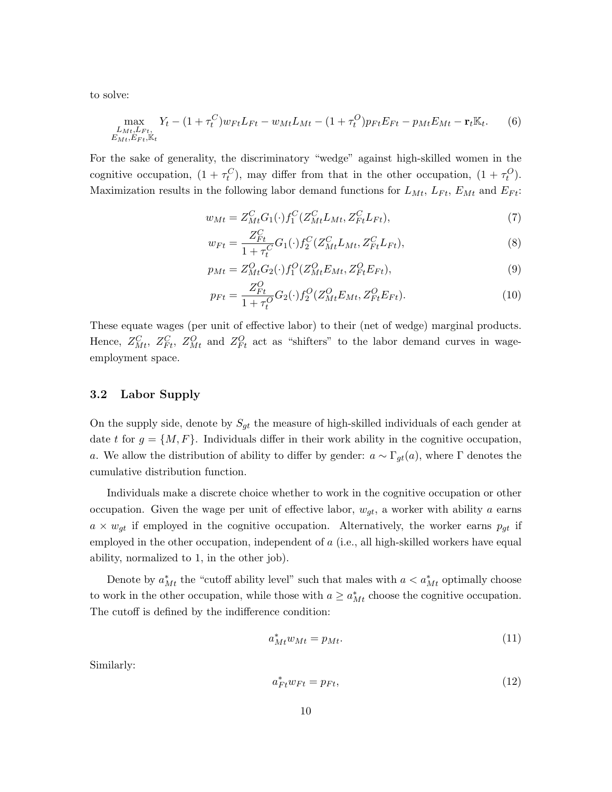to solve:

$$
\max_{\substack{L_{Mt}, L_{Ft}, \\EMt, E_{Ft}, \mathbb{K}_t}} Y_t - (1 + \tau_t^C) w_{Ft} L_{Ft} - w_{Mt} L_{Mt} - (1 + \tau_t^O) p_{Ft} E_{Ft} - p_{Mt} E_{Mt} - \mathbf{r}_t \mathbb{K}_t.
$$
 (6)

For the sake of generality, the discriminatory "wedge" against high-skilled women in the cognitive occupation,  $(1 + \tau_t^C)$ , may differ from that in the other occupation,  $(1 + \tau_t^O)$ . Maximization results in the following labor demand functions for  $L_{Mt}$ ,  $L_{Ft}$ ,  $E_{Mt}$  and  $E_{Ft}$ :

$$
w_{Mt} = Z_{Mt}^C G_1(\cdot) f_1^C (Z_{Mt}^C L_{Mt}, Z_{Ft}^C L_{Ft}),
$$
\n(7)

<span id="page-9-0"></span>
$$
w_{Ft} = \frac{Z_{Ft}^C}{1 + \tau_t^C} G_1(\cdot) f_2^C(Z_{Mt}^C L_{Mt}, Z_{Ft}^C L_{Ft}),
$$
\n(8)

$$
p_{Mt} = Z_{Mt}^O G_2(\cdot) f_1^O(Z_{Mt}^O E_{Mt}, Z_{Ft}^O E_{Ft}),
$$
\n(9)

<span id="page-9-4"></span><span id="page-9-1"></span>
$$
p_{Ft} = \frac{Z_{Ft}^O}{1 + \tau_t^O} G_2(\cdot) f_2^O(Z_{Mt}^O E_{Mt}, Z_{Ft}^O E_{Ft}).
$$
\n(10)

These equate wages (per unit of effective labor) to their (net of wedge) marginal products. Hence,  $Z_{Mt}^C$ ,  $Z_{Ft}^Q$ ,  $Z_{Mt}^Q$  and  $Z_{Ft}^Q$  act as "shifters" to the labor demand curves in wageemployment space.

### 3.2 Labor Supply

On the supply side, denote by  $S_{gt}$  the measure of high-skilled individuals of each gender at date t for  $g = \{M, F\}$ . Individuals differ in their work ability in the cognitive occupation, a. We allow the distribution of ability to differ by gender:  $a \sim \Gamma_{gt}(a)$ , where  $\Gamma$  denotes the cumulative distribution function.

Individuals make a discrete choice whether to work in the cognitive occupation or other occupation. Given the wage per unit of effective labor,  $w_{gt}$ , a worker with ability a earns  $a \times w_{gt}$  if employed in the cognitive occupation. Alternatively, the worker earns  $p_{gt}$  if employed in the other occupation, independent of  $a$  (i.e., all high-skilled workers have equal ability, normalized to 1, in the other job).

Denote by  $a_{Mt}^*$  the "cutoff ability level" such that males with  $a < a_{Mt}^*$  optimally choose to work in the other occupation, while those with  $a \ge a_{Mt}^*$  choose the cognitive occupation. The cutoff is defined by the indifference condition:

<span id="page-9-2"></span>
$$
a_{Mt}^* w_{Mt} = p_{Mt}.\tag{11}
$$

Similarly:

<span id="page-9-3"></span>
$$
a_{Ft}^* w_{Ft} = p_{Ft},\tag{12}
$$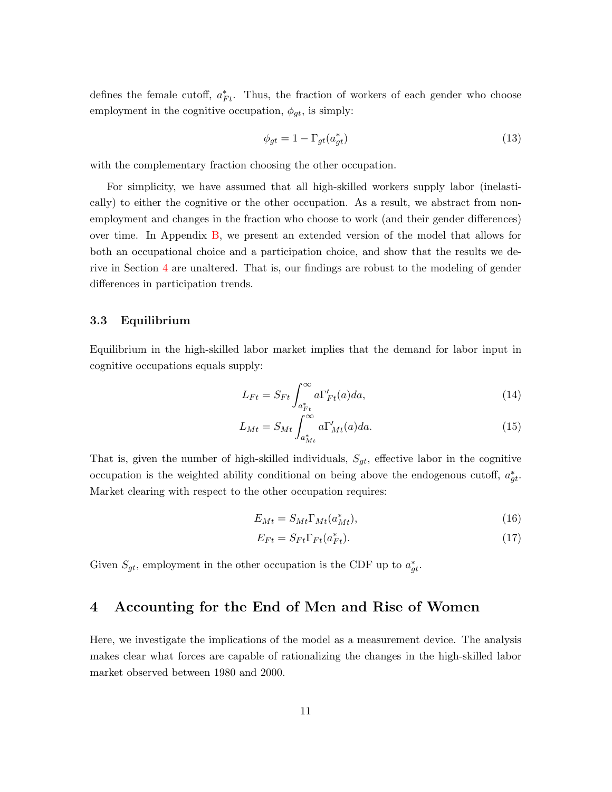defines the female cutoff,  $a_{Ft}^*$ . Thus, the fraction of workers of each gender who choose employment in the cognitive occupation,  $\phi_{gt}$ , is simply:

<span id="page-10-1"></span>
$$
\phi_{gt} = 1 - \Gamma_{gt}(a_{gt}^*)
$$
\n(13)

with the complementary fraction choosing the other occupation.

For simplicity, we have assumed that all high-skilled workers supply labor (inelastically) to either the cognitive or the other occupation. As a result, we abstract from nonemployment and changes in the fraction who choose to work (and their gender differences) over time. In Appendix [B,](#page-31-0) we present an extended version of the model that allows for both an occupational choice and a participation choice, and show that the results we derive in Section [4](#page-10-0) are unaltered. That is, our findings are robust to the modeling of gender differences in participation trends.

#### 3.3 Equilibrium

Equilibrium in the high-skilled labor market implies that the demand for labor input in cognitive occupations equals supply:

<span id="page-10-2"></span>
$$
L_{Ft} = S_{Ft} \int_{a_{Ft}^*}^{\infty} a \Gamma'_{Ft}(a) da,
$$
\n(14)

$$
L_{Mt} = S_{Mt} \int_{a_{Mt}^*}^{\infty} a \Gamma'_{Mt}(a) da.
$$
 (15)

That is, given the number of high-skilled individuals,  $S_{gt}$ , effective labor in the cognitive occupation is the weighted ability conditional on being above the endogenous cutoff,  $a_{gt}^*$ . Market clearing with respect to the other occupation requires:

$$
E_{Mt} = S_{Mt} \Gamma_{Mt}(a_{Mt}^*),\tag{16}
$$

<span id="page-10-3"></span>
$$
E_{Ft} = S_{Ft} \Gamma_{Ft}(a_{Ft}^*). \tag{17}
$$

Given  $S_{gt}$ , employment in the other occupation is the CDF up to  $a_{gt}^*$ .

## <span id="page-10-0"></span>4 Accounting for the End of Men and Rise of Women

Here, we investigate the implications of the model as a measurement device. The analysis makes clear what forces are capable of rationalizing the changes in the high-skilled labor market observed between 1980 and 2000.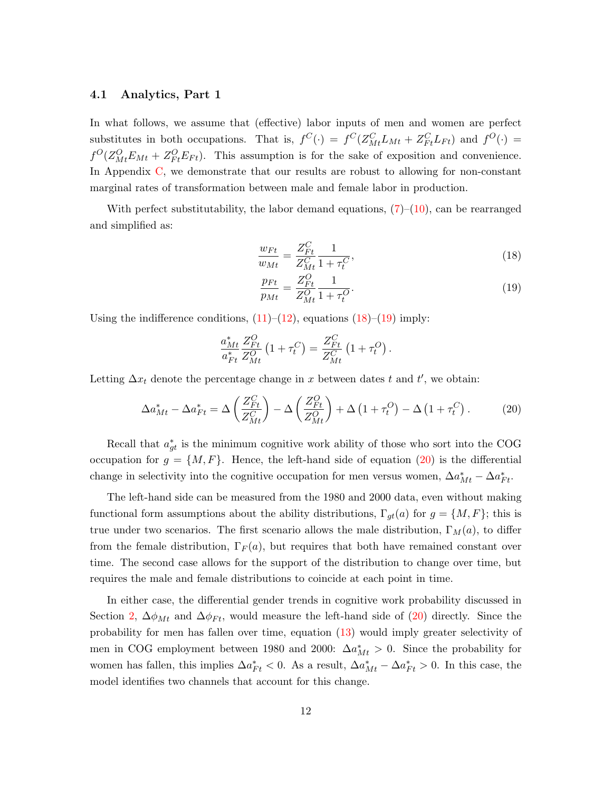#### <span id="page-11-3"></span>4.1 Analytics, Part 1

In what follows, we assume that (effective) labor inputs of men and women are perfect substitutes in both occupations. That is,  $f^C(\cdot) = f^C(Z_{Mt}^C L_{Mt} + Z_{Ft}^C L_{Ft})$  and  $f^O(\cdot) =$  $f^{O}(Z_{Mt}^{O}E_{Mt} + Z_{Ft}^{O}E_{Ft})$ . This assumption is for the sake of exposition and convenience. In Appendix [C,](#page-32-0) we demonstrate that our results are robust to allowing for non-constant marginal rates of transformation between male and female labor in production.

With perfect substitutability, the labor demand equations,  $(7)-(10)$  $(7)-(10)$ , can be rearranged and simplified as:

<span id="page-11-0"></span>
$$
\frac{w_{Ft}}{w_{Mt}} = \frac{Z_{Ft}^C}{Z_{Mt}^C} \frac{1}{1 + \tau_t^C},\tag{18}
$$

<span id="page-11-1"></span>
$$
\frac{p_{Ft}}{p_{Mt}} = \frac{Z_{Ft}^O}{Z_{Mt}^O} \frac{1}{1 + \tau_t^O}.\tag{19}
$$

Using the indifference conditions,  $(11)$ – $(12)$ , equations  $(18)$ – $(19)$  imply:

$$
\frac{a_{Mt}^*}{a_{Ft}^*} \frac{Z_{Ft}^O}{Z_{Mt}^O} (1 + \tau_t^C) = \frac{Z_{Ft}^C}{Z_{Mt}^C} (1 + \tau_t^O).
$$

Letting  $\Delta x_t$  denote the percentage change in x between dates t and t', we obtain:

<span id="page-11-2"></span>
$$
\Delta a_{Mt}^* - \Delta a_{Ft}^* = \Delta \left(\frac{Z_{Ft}^C}{Z_{Mt}^C}\right) - \Delta \left(\frac{Z_{Ft}^O}{Z_{Mt}^O}\right) + \Delta \left(1 + \tau_t^O\right) - \Delta \left(1 + \tau_t^C\right). \tag{20}
$$

Recall that  $a_{gt}^*$  is the minimum cognitive work ability of those who sort into the COG occupation for  $g = \{M, F\}$ . Hence, the left-hand side of equation [\(20\)](#page-11-2) is the differential change in selectivity into the cognitive occupation for men versus women,  $\Delta a_{Mt}^* - \Delta a_{Ft}^*$ .

The left-hand side can be measured from the 1980 and 2000 data, even without making functional form assumptions about the ability distributions,  $\Gamma_{gt}(a)$  for  $g = \{M, F\}$ ; this is true under two scenarios. The first scenario allows the male distribution,  $\Gamma_M(a)$ , to differ from the female distribution,  $\Gamma_F(a)$ , but requires that both have remained constant over time. The second case allows for the support of the distribution to change over time, but requires the male and female distributions to coincide at each point in time.

In either case, the differential gender trends in cognitive work probability discussed in Section [2,](#page-2-0)  $\Delta \phi_{Mt}$  and  $\Delta \phi_{Ft}$ , would measure the left-hand side of [\(20\)](#page-11-2) directly. Since the probability for men has fallen over time, equation [\(13\)](#page-10-1) would imply greater selectivity of men in COG employment between 1980 and 2000:  $\Delta a_{Mt}^* > 0$ . Since the probability for women has fallen, this implies  $\Delta a_{Ft}^* < 0$ . As a result,  $\Delta a_{Mt}^* - \Delta a_{Ft}^* > 0$ . In this case, the model identifies two channels that account for this change.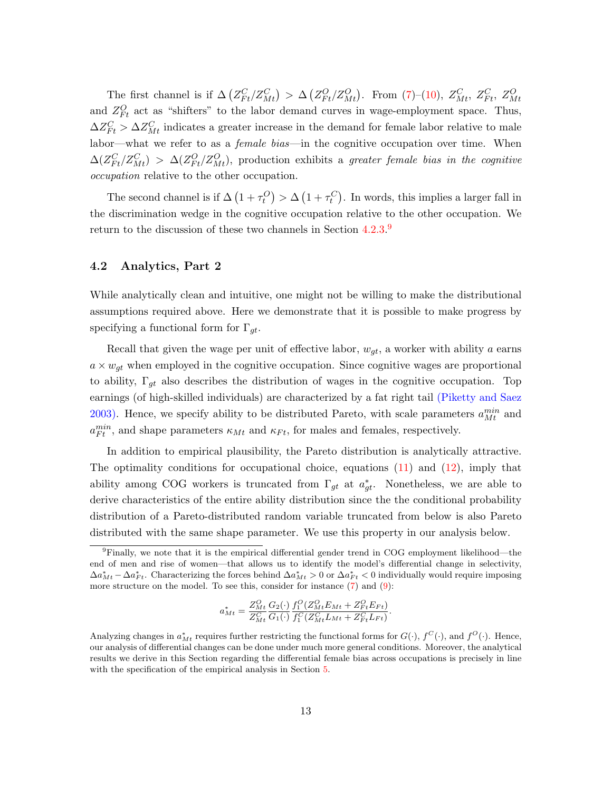The first channel is if  $\Delta (Z_{Ft}^C/Z_{Mt}^C) > \Delta (Z_{Ft}^O/Z_{Mt}^O)$ . From [\(7\)](#page-9-0)-[\(10\)](#page-9-1),  $Z_{Mt}^C$ ,  $Z_{Ft}^O$ ,  $Z_{Mt}^O$ and  $Z_{Ft}^{O}$  act as "shifters" to the labor demand curves in wage-employment space. Thus,  $\Delta Z_{Ft}^C > \Delta Z_{Mt}^C$  indicates a greater increase in the demand for female labor relative to male labor—what we refer to as a female bias—in the cognitive occupation over time. When  $\Delta(Z_{Ft}^C/Z_{Mt}^C) > \Delta(Z_{Ft}^O/Z_{Mt}^O)$ , production exhibits a greater female bias in the cognitive occupation relative to the other occupation.

The second channel is if  $\Delta (1 + \tau_t^O) > \Delta (1 + \tau_t^C)$ . In words, this implies a larger fall in the discrimination wedge in the cognitive occupation relative to the other occupation. We return to the discussion of these two channels in Section [4.2.3.](#page-15-0)<sup>[9](#page-0-0)</sup>

### <span id="page-12-0"></span>4.2 Analytics, Part 2

While analytically clean and intuitive, one might not be willing to make the distributional assumptions required above. Here we demonstrate that it is possible to make progress by specifying a functional form for  $\Gamma_{qt}$ .

Recall that given the wage per unit of effective labor,  $w_{qt}$ , a worker with ability a earns  $a \times w_{gt}$  when employed in the cognitive occupation. Since cognitive wages are proportional to ability,  $\Gamma_{gt}$  also describes the distribution of wages in the cognitive occupation. Top earnings (of high-skilled individuals) are characterized by a fat right tail [\(Piketty and Saez](#page-38-5) [2003\)](#page-38-5). Hence, we specify ability to be distributed Pareto, with scale parameters  $a_{Mt}^{min}$  and  $a_{Ft}^{min}$ , and shape parameters  $\kappa_{Mt}$  and  $\kappa_{Ft}$ , for males and females, respectively.

In addition to empirical plausibility, the Pareto distribution is analytically attractive. The optimality conditions for occupational choice, equations  $(11)$  and  $(12)$ , imply that ability among COG workers is truncated from  $\Gamma_{gt}$  at  $a_{gt}^*$ . Nonetheless, we are able to derive characteristics of the entire ability distribution since the the conditional probability distribution of a Pareto-distributed random variable truncated from below is also Pareto distributed with the same shape parameter. We use this property in our analysis below.

$$
a^*_{Mt} = \frac{Z^O_{Mt}}{Z^C_{Mt}} \frac{G_2(\cdot)}{G_1(\cdot)} \frac{f_1^O(Z^O_{Mt}E_{Mt} + Z^O_{Ft}E_{Ft})}{f_1^C(Z^C_{Mt}L_{Mt} + Z^C_{Ft}L_{Ft})}.
$$

<sup>&</sup>lt;sup>9</sup>Finally, we note that it is the empirical differential gender trend in COG employment likelihood—the end of men and rise of women—that allows us to identify the model's differential change in selectivity,  $\Delta a_{Mt}^* - \Delta a_{Ft}^*$ . Characterizing the forces behind  $\Delta a_{Mt}^* > 0$  or  $\Delta a_{Ft}^* < 0$  individually would require imposing more structure on the model. To see this, consider for instance  $(7)$  and  $(9)$ :

Analyzing changes in  $a_{Mt}^*$  requires further restricting the functional forms for  $G(\cdot)$ ,  $f^C(\cdot)$ , and  $f^O(\cdot)$ . Hence, our analysis of differential changes can be done under much more general conditions. Moreover, the analytical results we derive in this Section regarding the differential female bias across occupations is precisely in line with the specification of the empirical analysis in Section  $5$ .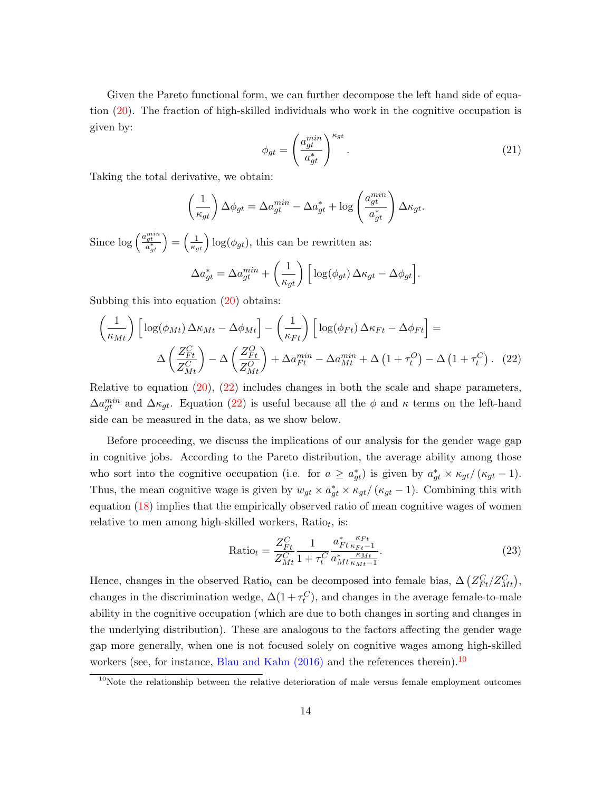Given the Pareto functional form, we can further decompose the left hand side of equation [\(20\)](#page-11-2). The fraction of high-skilled individuals who work in the cognitive occupation is given by:

<span id="page-13-1"></span><span id="page-13-0"></span>
$$
\phi_{gt} = \left(\frac{a_{gt}^{min}}{a_{gt}^*}\right)^{\kappa_{gt}}.\tag{21}
$$

Taking the total derivative, we obtain:

$$
\left(\frac{1}{\kappa_{gt}}\right)\Delta\phi_{gt} = \Delta a_{gt}^{min} - \Delta a_{gt}^* + \log\left(\frac{a_{gt}^{min}}{a_{gt}^*}\right)\Delta\kappa_{gt}.
$$

Since  $\log\left(\frac{a_{gt}^{min}}{a_{gt}^{*}}\right) = \left(\frac{1}{\kappa_{gt}}\right) \log(\phi_{gt})$ , this can be rewritten as:

$$
\Delta a_{gt}^* = \Delta a_{gt}^{min} + \left(\frac{1}{\kappa_{gt}}\right) \left[\log(\phi_{gt}) \Delta \kappa_{gt} - \Delta \phi_{gt}\right].
$$

Subbing this into equation  $(20)$  obtains:

$$
\left(\frac{1}{\kappa_{Mt}}\right) \left[ \log(\phi_{Mt}) \Delta \kappa_{Mt} - \Delta \phi_{Mt} \right] - \left(\frac{1}{\kappa_{Ft}}\right) \left[ \log(\phi_{Ft}) \Delta \kappa_{Ft} - \Delta \phi_{Ft} \right] =
$$
\n
$$
\Delta \left(\frac{Z_{Ft}^C}{Z_{Mt}^C}\right) - \Delta \left(\frac{Z_{Ft}^O}{Z_{Mt}^O}\right) + \Delta a_{Ft}^{min} - \Delta a_{Mt}^{min} + \Delta \left(1 + \tau_t^O\right) - \Delta \left(1 + \tau_t^C\right). \tag{22}
$$

Relative to equation [\(20\)](#page-11-2), [\(22\)](#page-13-0) includes changes in both the scale and shape parameters,  $\Delta a_{gt}^{min}$  and  $\Delta \kappa_{gt}$ . Equation [\(22\)](#page-13-0) is useful because all the  $\phi$  and  $\kappa$  terms on the left-hand side can be measured in the data, as we show below.

Before proceeding, we discuss the implications of our analysis for the gender wage gap in cognitive jobs. According to the Pareto distribution, the average ability among those who sort into the cognitive occupation (i.e. for  $a \ge a_{gt}^*$ ) is given by  $a_{gt}^* \times \kappa_{gt}/(\kappa_{gt}-1)$ . Thus, the mean cognitive wage is given by  $w_{gt} \propto a_{gt}^* \times \kappa_{gt}/(\kappa_{gt} - 1)$ . Combining this with equation [\(18\)](#page-11-0) implies that the empirically observed ratio of mean cognitive wages of women relative to men among high-skilled workers,  $Ratio<sub>t</sub>$ , is:

$$
Ratio_{t} = \frac{Z_{Ft}^{C}}{Z_{Mt}^{C}} \frac{1}{1 + \tau_{t}^{C}} \frac{a_{Ft}^{*} \frac{\kappa_{Ft}}{\kappa_{Ft} - 1}}{a_{Mt}^{*} \frac{\kappa_{Mt}}{\kappa_{Mt} - 1}}.
$$
\n(23)

Hence, changes in the observed Ratio<sub>t</sub> can be decomposed into female bias,  $\Delta \left( Z_{Ft}^{C}/Z_{Mt}^{C}\right)$ , changes in the discrimination wedge,  $\Delta(1+\tau_t^C)$ , and changes in the average female-to-male ability in the cognitive occupation (which are due to both changes in sorting and changes in the underlying distribution). These are analogous to the factors affecting the gender wage gap more generally, when one is not focused solely on cognitive wages among high-skilled workers (see, for instance, [Blau and Kahn](#page-35-8)  $(2016)$  and the references therein).<sup>[10](#page-0-0)</sup>

<sup>&</sup>lt;sup>10</sup>Note the relationship between the relative deterioration of male versus female employment outcomes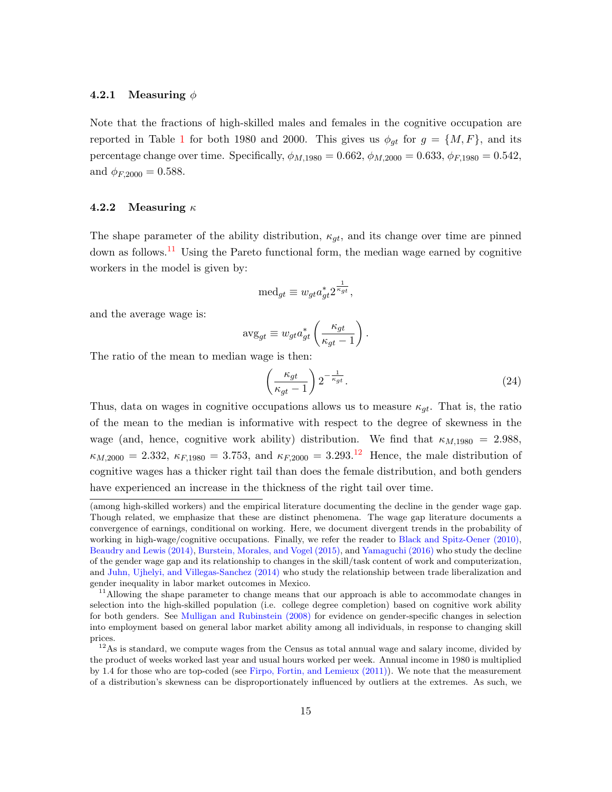Note that the fractions of high-skilled males and females in the cognitive occupation are reported in Table [1](#page-4-0) for both 1980 and 2000. This gives us  $\phi_{qt}$  for  $g = \{M, F\}$ , and its percentage change over time. Specifically,  $\phi_{M,1980} = 0.662$ ,  $\phi_{M,2000} = 0.633$ ,  $\phi_{F,1980} = 0.542$ , and  $\phi_{F,2000} = 0.588$ .

#### 4.2.2 Measuring  $\kappa$

The shape parameter of the ability distribution,  $\kappa_{qt}$ , and its change over time are pinned down as follows.<sup>[11](#page-0-0)</sup> Using the Pareto functional form, the median wage earned by cognitive workers in the model is given by:

$$
med_{gt} \equiv w_{gt}a_{gt}^* 2^{\frac{1}{\kappa_{gt}}},
$$

and the average wage is:

$$
avg_{gt} \equiv w_{gt}a_{gt}^* \left(\frac{\kappa_{gt}}{\kappa_{gt}-1}\right).
$$

The ratio of the mean to median wage is then:

<span id="page-14-0"></span>
$$
\left(\frac{\kappa_{gt}}{\kappa_{gt}-1}\right)2^{-\frac{1}{\kappa_{gt}}}.\tag{24}
$$

Thus, data on wages in cognitive occupations allows us to measure  $\kappa_{qt}$ . That is, the ratio of the mean to the median is informative with respect to the degree of skewness in the wage (and, hence, cognitive work ability) distribution. We find that  $\kappa_{M,1980} = 2.988$ ,  $\kappa_{M,2000} = 2.332, \ \kappa_{F,1980} = 3.753, \text{ and } \ \kappa_{F,2000} = 3.293^{12}$  $\kappa_{M,2000} = 2.332, \ \kappa_{F,1980} = 3.753, \text{ and } \ \kappa_{F,2000} = 3.293^{12}$  $\kappa_{M,2000} = 2.332, \ \kappa_{F,1980} = 3.753, \text{ and } \ \kappa_{F,2000} = 3.293^{12}$  Hence, the male distribution of cognitive wages has a thicker right tail than does the female distribution, and both genders have experienced an increase in the thickness of the right tail over time.

<sup>(</sup>among high-skilled workers) and the empirical literature documenting the decline in the gender wage gap. Though related, we emphasize that these are distinct phenomena. The wage gap literature documents a convergence of earnings, conditional on working. Here, we document divergent trends in the probability of working in high-wage/cognitive occupations. Finally, we refer the reader to [Black and Spitz-Oener](#page-35-9) [\(2010\)](#page-35-9), [Beaudry and Lewis](#page-35-10) [\(2014\)](#page-35-10), [Burstein, Morales, and Vogel](#page-36-8) [\(2015\)](#page-36-8), and [Yamaguchi](#page-38-6) [\(2016\)](#page-38-6) who study the decline of the gender wage gap and its relationship to changes in the skill/task content of work and computerization, and [Juhn, Ujhelyi, and Villegas-Sanchez](#page-37-5) [\(2014\)](#page-37-5) who study the relationship between trade liberalization and gender inequality in labor market outcomes in Mexico.

<sup>&</sup>lt;sup>11</sup>Allowing the shape parameter to change means that our approach is able to accommodate changes in selection into the high-skilled population (i.e. college degree completion) based on cognitive work ability for both genders. See [Mulligan and Rubinstein](#page-37-6) [\(2008\)](#page-37-6) for evidence on gender-specific changes in selection into employment based on general labor market ability among all individuals, in response to changing skill prices.

 $12\text{As}$  is standard, we compute wages from the Census as total annual wage and salary income, divided by the product of weeks worked last year and usual hours worked per week. Annual income in 1980 is multiplied by 1.4 for those who are top-coded (see [Firpo, Fortin, and Lemieux](#page-36-9) [\(2011\)](#page-36-9)). We note that the measurement of a distribution's skewness can be disproportionately influenced by outliers at the extremes. As such, we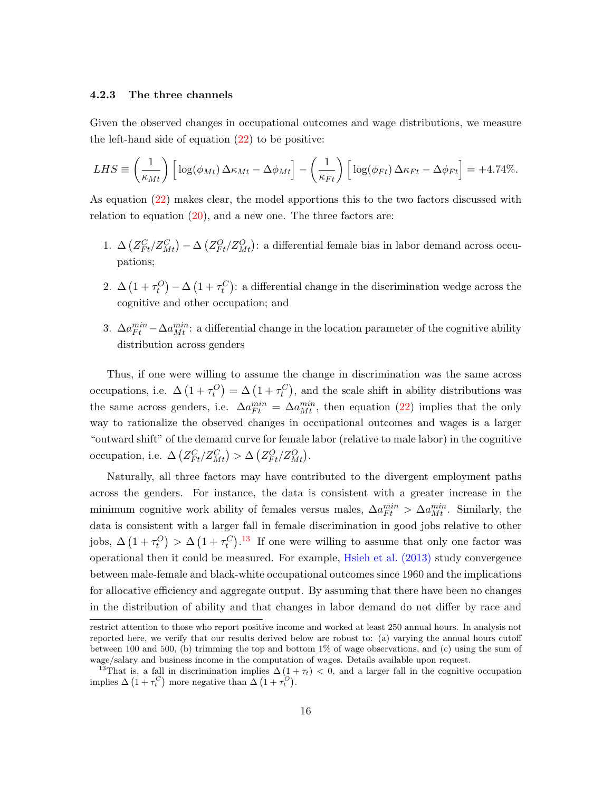#### <span id="page-15-0"></span>4.2.3 The three channels

Given the observed changes in occupational outcomes and wage distributions, we measure the left-hand side of equation  $(22)$  to be positive:

$$
LHS \equiv \left(\frac{1}{\kappa_{Mt}}\right) \left[ \log(\phi_{Mt}) \Delta \kappa_{Mt} - \Delta \phi_{Mt} \right] - \left(\frac{1}{\kappa_{Ft}}\right) \left[ \log(\phi_{Ft}) \Delta \kappa_{Ft} - \Delta \phi_{Ft} \right] = +4.74\%.
$$

As equation [\(22\)](#page-13-0) makes clear, the model apportions this to the two factors discussed with relation to equation  $(20)$ , and a new one. The three factors are:

- 1.  $\Delta (Z_{Ft}^C/Z_{Mt}^C) \Delta (Z_{Ft}^O/Z_{Mt}^O)$ : a differential female bias in labor demand across occupations;
- 2.  $\Delta(1+\tau_t^O) \Delta(1+\tau_t^O)$ : a differential change in the discrimination wedge across the cognitive and other occupation; and
- 3.  $\Delta a_{Ft}^{min} \Delta a_{Mt}^{min}$ : a differential change in the location parameter of the cognitive ability distribution across genders

Thus, if one were willing to assume the change in discrimination was the same across occupations, i.e.  $\Delta \left(1 + \tau_t^O\right) = \Delta \left(1 + \tau_t^C\right)$ , and the scale shift in ability distributions was the same across genders, i.e.  $\Delta a_{Ft}^{min} = \Delta a_{Mt}^{min}$ , then equation [\(22\)](#page-13-0) implies that the only way to rationalize the observed changes in occupational outcomes and wages is a larger "outward shift" of the demand curve for female labor (relative to male labor) in the cognitive occupation, i.e.  $\Delta \left( Z_{Ft}^C/Z_{Mt}^C \right) > \Delta \left( Z_{Ft}^O/Z_{Mt}^O \right)$ .

Naturally, all three factors may have contributed to the divergent employment paths across the genders. For instance, the data is consistent with a greater increase in the minimum cognitive work ability of females versus males,  $\Delta a_{Ft}^{min} > \Delta a_{Mt}^{min}$ . Similarly, the data is consistent with a larger fall in female discrimination in good jobs relative to other jobs,  $\Delta(1+\tau_t^O) > \Delta(1+\tau_t^O).$ <sup>[13](#page-0-0)</sup> If one were willing to assume that only one factor was operational then it could be measured. For example, [Hsieh et al.](#page-37-1) [\(2013\)](#page-37-1) study convergence between male-female and black-white occupational outcomes since 1960 and the implications for allocative efficiency and aggregate output. By assuming that there have been no changes in the distribution of ability and that changes in labor demand do not differ by race and

restrict attention to those who report positive income and worked at least 250 annual hours. In analysis not reported here, we verify that our results derived below are robust to: (a) varying the annual hours cutoff between 100 and 500, (b) trimming the top and bottom 1% of wage observations, and (c) using the sum of wage/salary and business income in the computation of wages. Details available upon request.

<sup>&</sup>lt;sup>13</sup>That is, a fall in discrimination implies  $\Delta(1+\tau_t) < 0$ , and a larger fall in the cognitive occupation implies  $\Delta \left(1 + \tau_t^C\right)$  more negative than  $\Delta \left(1 + \tau_t^O\right)$ .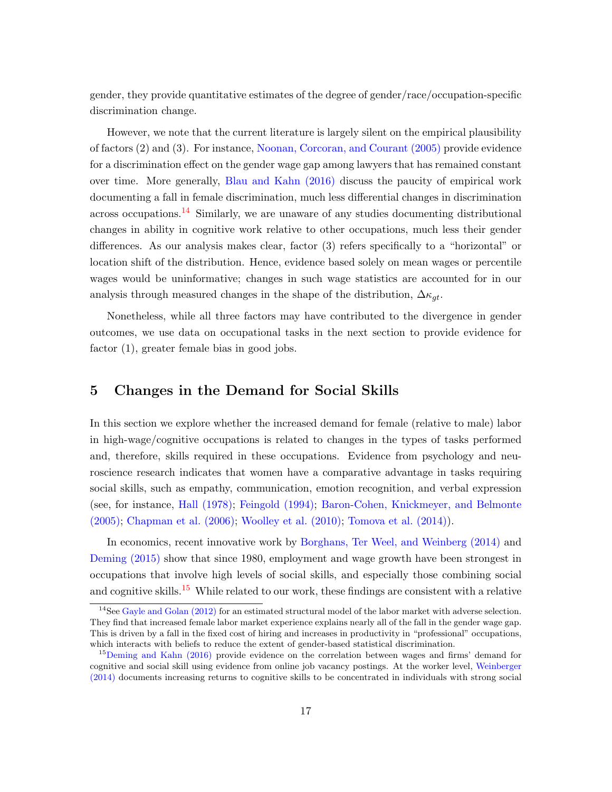gender, they provide quantitative estimates of the degree of gender/race/occupation-specific discrimination change.

However, we note that the current literature is largely silent on the empirical plausibility of factors (2) and (3). For instance, [Noonan, Corcoran, and Courant](#page-38-7) [\(2005\)](#page-38-7) provide evidence for a discrimination effect on the gender wage gap among lawyers that has remained constant over time. More generally, [Blau and Kahn](#page-35-8) [\(2016\)](#page-35-8) discuss the paucity of empirical work documenting a fall in female discrimination, much less differential changes in discrimination  $across$  occupations.<sup>[14](#page-0-0)</sup> Similarly, we are unaware of any studies documenting distributional changes in ability in cognitive work relative to other occupations, much less their gender differences. As our analysis makes clear, factor (3) refers specifically to a "horizontal" or location shift of the distribution. Hence, evidence based solely on mean wages or percentile wages would be uninformative; changes in such wage statistics are accounted for in our analysis through measured changes in the shape of the distribution,  $\Delta \kappa_{at}$ .

Nonetheless, while all three factors may have contributed to the divergence in gender outcomes, we use data on occupational tasks in the next section to provide evidence for factor (1), greater female bias in good jobs.

## <span id="page-16-0"></span>5 Changes in the Demand for Social Skills

In this section we explore whether the increased demand for female (relative to male) labor in high-wage/cognitive occupations is related to changes in the types of tasks performed and, therefore, skills required in these occupations. Evidence from psychology and neuroscience research indicates that women have a comparative advantage in tasks requiring social skills, such as empathy, communication, emotion recognition, and verbal expression (see, for instance, [Hall](#page-37-0) [\(1978\)](#page-37-0); [Feingold](#page-36-0) [\(1994\)](#page-36-0); [Baron-Cohen, Knickmeyer, and Belmonte](#page-35-2) [\(2005\)](#page-35-2); [Chapman et al.](#page-36-1) [\(2006\)](#page-36-1); [Woolley et al.](#page-38-1) [\(2010\)](#page-38-1); [Tomova et al.](#page-38-2) [\(2014\)](#page-38-2)).

In economics, recent innovative work by [Borghans, Ter Weel, and Weinberg](#page-36-4) [\(2014\)](#page-36-4) and [Deming](#page-36-5) [\(2015\)](#page-36-5) show that since 1980, employment and wage growth have been strongest in occupations that involve high levels of social skills, and especially those combining social and cognitive skills.<sup>[15](#page-0-0)</sup> While related to our work, these findings are consistent with a relative

<sup>&</sup>lt;sup>14</sup>See [Gayle and Golan](#page-36-10) [\(2012\)](#page-36-10) for an estimated structural model of the labor market with adverse selection. They find that increased female labor market experience explains nearly all of the fall in the gender wage gap. This is driven by a fall in the fixed cost of hiring and increases in productivity in "professional" occupations, which interacts with beliefs to reduce the extent of gender-based statistical discrimination.

<sup>&</sup>lt;sup>15</sup>[Deming and Kahn](#page-36-11) [\(2016\)](#page-36-11) provide evidence on the correlation between wages and firms' demand for cognitive and social skill using evidence from online job vacancy postings. At the worker level, [Weinberger](#page-38-8) [\(2014\)](#page-38-8) documents increasing returns to cognitive skills to be concentrated in individuals with strong social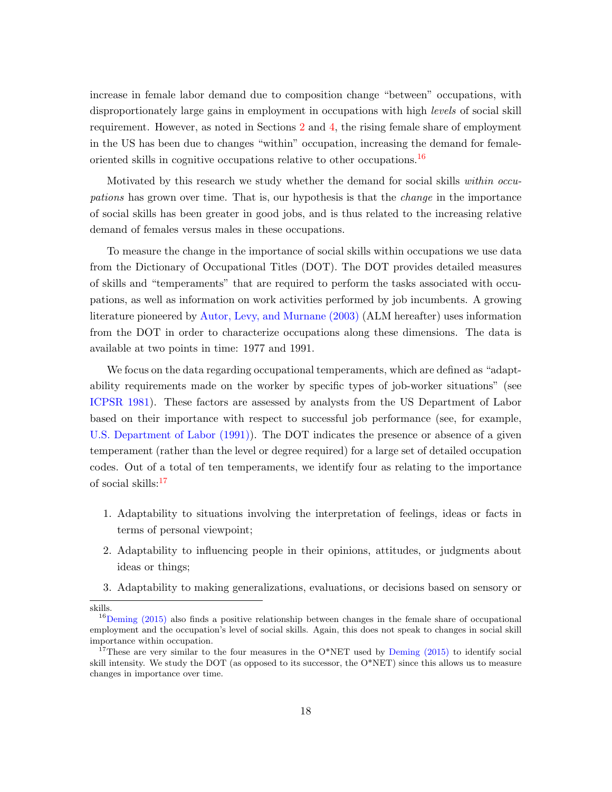increase in female labor demand due to composition change "between" occupations, with disproportionately large gains in employment in occupations with high *levels* of social skill requirement. However, as noted in Sections [2](#page-2-0) and [4,](#page-10-0) the rising female share of employment in the US has been due to changes "within" occupation, increasing the demand for femaleoriented skills in cognitive occupations relative to other occupations.[16](#page-0-0)

Motivated by this research we study whether the demand for social skills within occupations has grown over time. That is, our hypothesis is that the change in the importance of social skills has been greater in good jobs, and is thus related to the increasing relative demand of females versus males in these occupations.

To measure the change in the importance of social skills within occupations we use data from the Dictionary of Occupational Titles (DOT). The DOT provides detailed measures of skills and "temperaments" that are required to perform the tasks associated with occupations, as well as information on work activities performed by job incumbents. A growing literature pioneered by [Autor, Levy, and Murnane](#page-35-4) [\(2003\)](#page-35-4) (ALM hereafter) uses information from the DOT in order to characterize occupations along these dimensions. The data is available at two points in time: 1977 and 1991.

We focus on the data regarding occupational temperaments, which are defined as "adaptability requirements made on the worker by specific types of job-worker situations" (see [ICPSR 1981\)](#page-37-7). These factors are assessed by analysts from the US Department of Labor based on their importance with respect to successful job performance (see, for example, [U.S. Department of Labor](#page-38-9) [\(1991\)](#page-38-9)). The DOT indicates the presence or absence of a given temperament (rather than the level or degree required) for a large set of detailed occupation codes. Out of a total of ten temperaments, we identify four as relating to the importance of social skills:[17](#page-0-0)

- 1. Adaptability to situations involving the interpretation of feelings, ideas or facts in terms of personal viewpoint;
- 2. Adaptability to influencing people in their opinions, attitudes, or judgments about ideas or things;
- 3. Adaptability to making generalizations, evaluations, or decisions based on sensory or

skills.

 $^{16}$ [Deming](#page-36-5) [\(2015\)](#page-36-5) also finds a positive relationship between changes in the female share of occupational employment and the occupation's level of social skills. Again, this does not speak to changes in social skill importance within occupation.

<sup>&</sup>lt;sup>17</sup>These are very similar to the four measures in the O\*NET used by [Deming](#page-36-5)  $(2015)$  to identify social skill intensity. We study the DOT (as opposed to its successor, the O\*NET) since this allows us to measure changes in importance over time.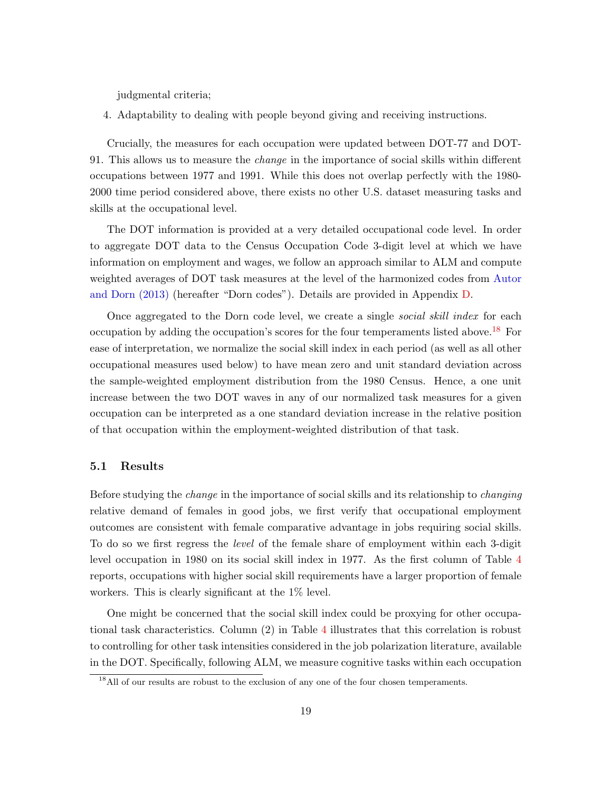judgmental criteria;

4. Adaptability to dealing with people beyond giving and receiving instructions.

Crucially, the measures for each occupation were updated between DOT-77 and DOT-91. This allows us to measure the change in the importance of social skills within different occupations between 1977 and 1991. While this does not overlap perfectly with the 1980- 2000 time period considered above, there exists no other U.S. dataset measuring tasks and skills at the occupational level.

The DOT information is provided at a very detailed occupational code level. In order to aggregate DOT data to the Census Occupation Code 3-digit level at which we have information on employment and wages, we follow an approach similar to ALM and compute weighted averages of DOT task measures at the level of the harmonized codes from [Autor](#page-35-5) [and Dorn](#page-35-5) [\(2013\)](#page-35-5) (hereafter "Dorn codes"). Details are provided in Appendix [D.](#page-33-0)

Once aggregated to the Dorn code level, we create a single social skill index for each occupation by adding the occupation's scores for the four temperaments listed above.<sup>[18](#page-0-0)</sup> For ease of interpretation, we normalize the social skill index in each period (as well as all other occupational measures used below) to have mean zero and unit standard deviation across the sample-weighted employment distribution from the 1980 Census. Hence, a one unit increase between the two DOT waves in any of our normalized task measures for a given occupation can be interpreted as a one standard deviation increase in the relative position of that occupation within the employment-weighted distribution of that task.

### 5.1 Results

Before studying the *change* in the importance of social skills and its relationship to *changing* relative demand of females in good jobs, we first verify that occupational employment outcomes are consistent with female comparative advantage in jobs requiring social skills. To do so we first regress the level of the female share of employment within each 3-digit level occupation in 1980 on its social skill index in 1977. As the first column of Table [4](#page-19-0) reports, occupations with higher social skill requirements have a larger proportion of female workers. This is clearly significant at the 1% level.

One might be concerned that the social skill index could be proxying for other occupational task characteristics. Column (2) in Table [4](#page-19-0) illustrates that this correlation is robust to controlling for other task intensities considered in the job polarization literature, available in the DOT. Specifically, following ALM, we measure cognitive tasks within each occupation

<sup>&</sup>lt;sup>18</sup>All of our results are robust to the exclusion of any one of the four chosen temperaments.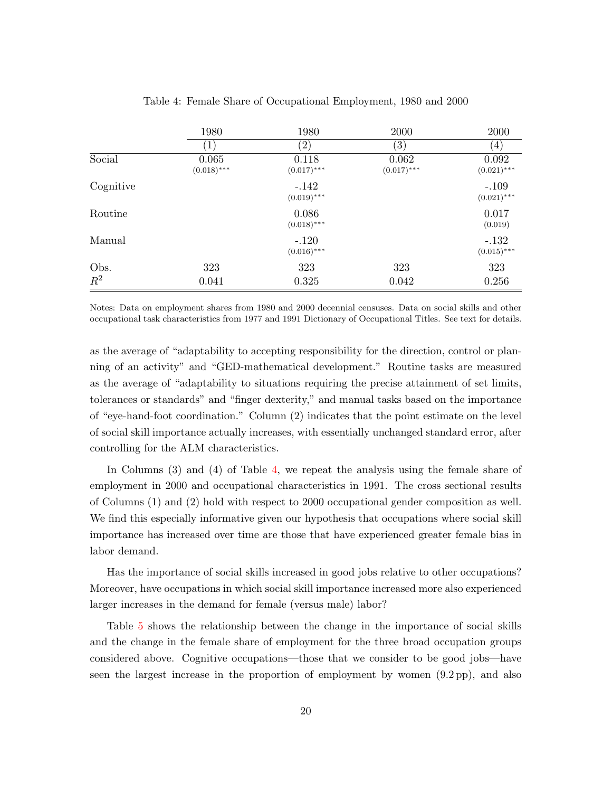|           | 1980                   | 1980                     | 2000                   | 2000                     |
|-----------|------------------------|--------------------------|------------------------|--------------------------|
|           | 1                      | $\left( 2\right)$        | $\left( 3\right)$      | $\left( 4\right)$        |
| Social    | 0.065<br>$(0.018)$ *** | 0.118<br>$(0.017)$ ***   | 0.062<br>$(0.017)$ *** | 0.092<br>$(0.021)$ ***   |
| Cognitive |                        | $-.142$<br>$(0.019)$ *** |                        | $-.109$<br>$(0.021)$ *** |
| Routine   |                        | 0.086<br>$(0.018)$ ***   |                        | 0.017<br>(0.019)         |
| Manual    |                        | $-.120$<br>$(0.016)$ *** |                        | $-.132$<br>$(0.015)$ *** |
| Obs.      | 323                    | 323                      | 323                    | 323                      |
| $R^2$     | 0.041                  | 0.325                    | 0.042                  | 0.256                    |

#### <span id="page-19-0"></span>Table 4: Female Share of Occupational Employment, 1980 and 2000

Notes: Data on employment shares from 1980 and 2000 decennial censuses. Data on social skills and other occupational task characteristics from 1977 and 1991 Dictionary of Occupational Titles. See text for details.

as the average of "adaptability to accepting responsibility for the direction, control or planning of an activity" and "GED-mathematical development." Routine tasks are measured as the average of "adaptability to situations requiring the precise attainment of set limits, tolerances or standards" and "finger dexterity," and manual tasks based on the importance of "eye-hand-foot coordination." Column (2) indicates that the point estimate on the level of social skill importance actually increases, with essentially unchanged standard error, after controlling for the ALM characteristics.

In Columns (3) and (4) of Table [4,](#page-19-0) we repeat the analysis using the female share of employment in 2000 and occupational characteristics in 1991. The cross sectional results of Columns (1) and (2) hold with respect to 2000 occupational gender composition as well. We find this especially informative given our hypothesis that occupations where social skill importance has increased over time are those that have experienced greater female bias in labor demand.

Has the importance of social skills increased in good jobs relative to other occupations? Moreover, have occupations in which social skill importance increased more also experienced larger increases in the demand for female (versus male) labor?

Table [5](#page-20-0) shows the relationship between the change in the importance of social skills and the change in the female share of employment for the three broad occupation groups considered above. Cognitive occupations—those that we consider to be good jobs—have seen the largest increase in the proportion of employment by women (9.2 pp), and also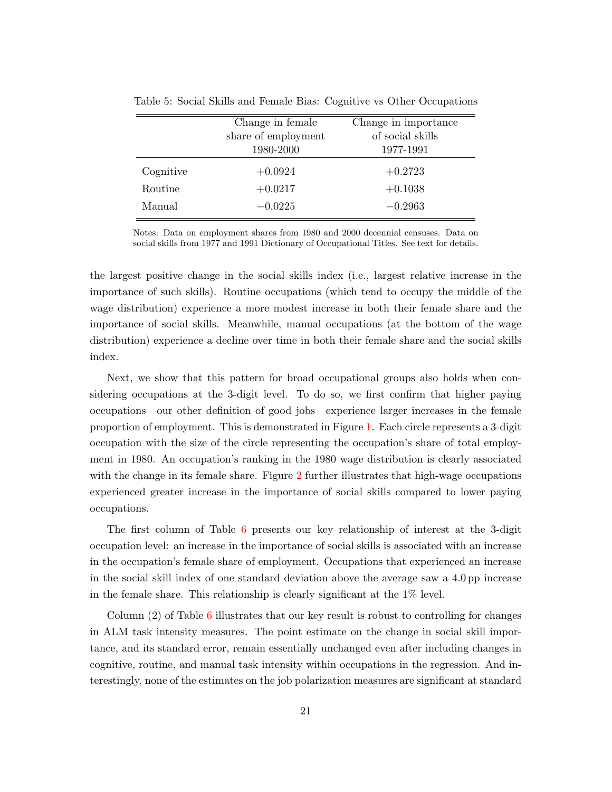|           | Change in female    | Change in importance |
|-----------|---------------------|----------------------|
|           | share of employment | of social skills     |
|           | 1980-2000           | 1977-1991            |
| Cognitive | $+0.0924$           | $+0.2723$            |
| Routine   | $+0.0217$           | $+0.1038$            |
| Manual    | $-0.0225$           | $-0.2963$            |

<span id="page-20-0"></span>Table 5: Social Skills and Female Bias: Cognitive vs Other Occupations

Notes: Data on employment shares from 1980 and 2000 decennial censuses. Data on social skills from 1977 and 1991 Dictionary of Occupational Titles. See text for details.

the largest positive change in the social skills index (i.e., largest relative increase in the importance of such skills). Routine occupations (which tend to occupy the middle of the wage distribution) experience a more modest increase in both their female share and the importance of social skills. Meanwhile, manual occupations (at the bottom of the wage distribution) experience a decline over time in both their female share and the social skills index.

Next, we show that this pattern for broad occupational groups also holds when considering occupations at the 3-digit level. To do so, we first confirm that higher paying occupations—our other definition of good jobs—experience larger increases in the female proportion of employment. This is demonstrated in Figure [1.](#page-21-0) Each circle represents a 3-digit occupation with the size of the circle representing the occupation's share of total employment in 1980. An occupation's ranking in the 1980 wage distribution is clearly associated with the change in its female share. Figure [2](#page-21-1) further illustrates that high-wage occupations experienced greater increase in the importance of social skills compared to lower paying occupations.

The first column of Table [6](#page-22-0) presents our key relationship of interest at the 3-digit occupation level: an increase in the importance of social skills is associated with an increase in the occupation's female share of employment. Occupations that experienced an increase in the social skill index of one standard deviation above the average saw a 4.0 pp increase in the female share. This relationship is clearly significant at the 1% level.

Column (2) of Table [6](#page-22-0) illustrates that our key result is robust to controlling for changes in ALM task intensity measures. The point estimate on the change in social skill importance, and its standard error, remain essentially unchanged even after including changes in cognitive, routine, and manual task intensity within occupations in the regression. And interestingly, none of the estimates on the job polarization measures are significant at standard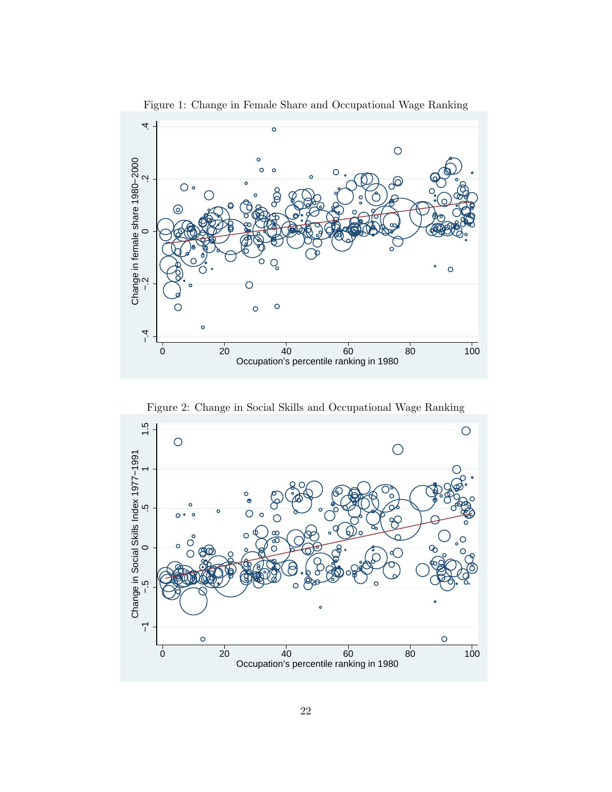

<span id="page-21-0"></span>Figure 1: Change in Female Share and Occupational Wage Ranking



<span id="page-21-1"></span>Figure 2: Change in Social Skills and Occupational Wage Ranking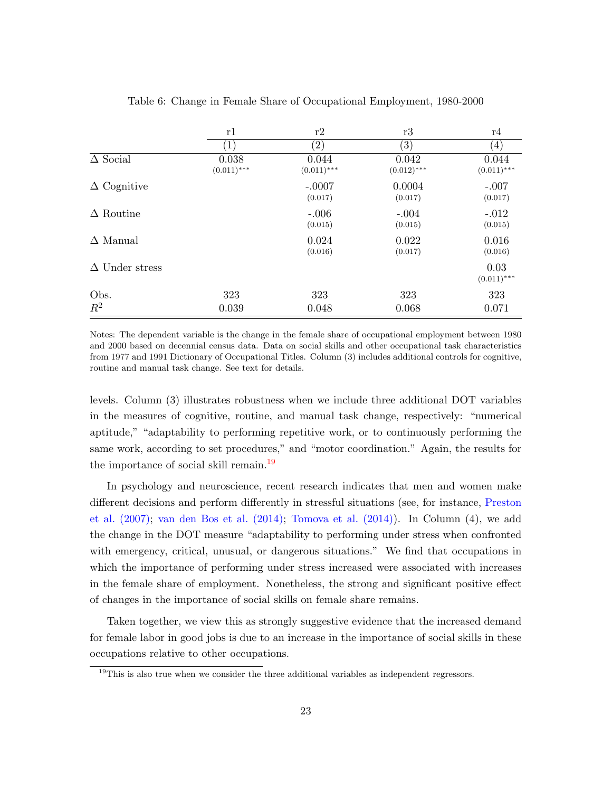|                       | r1                     | r2                     | r3                     | r4                     |
|-----------------------|------------------------|------------------------|------------------------|------------------------|
|                       | $\left  \right $       | $\left( 2\right)$      | $\left( 3\right)$      | (4)                    |
| $\Delta$ Social       | 0.038<br>$(0.011)$ *** | 0.044<br>$(0.011)$ *** | 0.042<br>$(0.012)$ *** | 0.044<br>$(0.011)$ *** |
| $\Delta$ Cognitive    |                        | $-.0007$<br>(0.017)    | 0.0004<br>(0.017)      | $-.007$<br>(0.017)     |
| $\Delta$ Routine      |                        | $-.006$<br>(0.015)     | $-.004$<br>(0.015)     | $-.012$<br>(0.015)     |
| $\Delta$ Manual       |                        | 0.024<br>(0.016)       | 0.022<br>(0.017)       | 0.016<br>(0.016)       |
| $\Delta$ Under stress |                        |                        |                        | 0.03<br>$(0.011)$ ***  |
| Obs.                  | 323                    | 323                    | 323                    | 323                    |
| $R^2$                 | 0.039                  | 0.048                  | 0.068                  | 0.071                  |

### <span id="page-22-0"></span>Table 6: Change in Female Share of Occupational Employment, 1980-2000

Notes: The dependent variable is the change in the female share of occupational employment between 1980 and 2000 based on decennial census data. Data on social skills and other occupational task characteristics from 1977 and 1991 Dictionary of Occupational Titles. Column (3) includes additional controls for cognitive, routine and manual task change. See text for details.

levels. Column (3) illustrates robustness when we include three additional DOT variables in the measures of cognitive, routine, and manual task change, respectively: "numerical aptitude," "adaptability to performing repetitive work, or to continuously performing the same work, according to set procedures," and "motor coordination." Again, the results for the importance of social skill remain.[19](#page-0-0)

In psychology and neuroscience, recent research indicates that men and women make different decisions and perform differently in stressful situations (see, for instance, [Preston](#page-38-10) [et al.](#page-38-10) [\(2007\)](#page-38-10); [van den Bos et al.](#page-38-11) [\(2014\)](#page-38-11); [Tomova et al.](#page-38-2) [\(2014\)](#page-38-2)). In Column (4), we add the change in the DOT measure "adaptability to performing under stress when confronted with emergency, critical, unusual, or dangerous situations." We find that occupations in which the importance of performing under stress increased were associated with increases in the female share of employment. Nonetheless, the strong and significant positive effect of changes in the importance of social skills on female share remains.

Taken together, we view this as strongly suggestive evidence that the increased demand for female labor in good jobs is due to an increase in the importance of social skills in these occupations relative to other occupations.

 $19$ This is also true when we consider the three additional variables as independent regressors.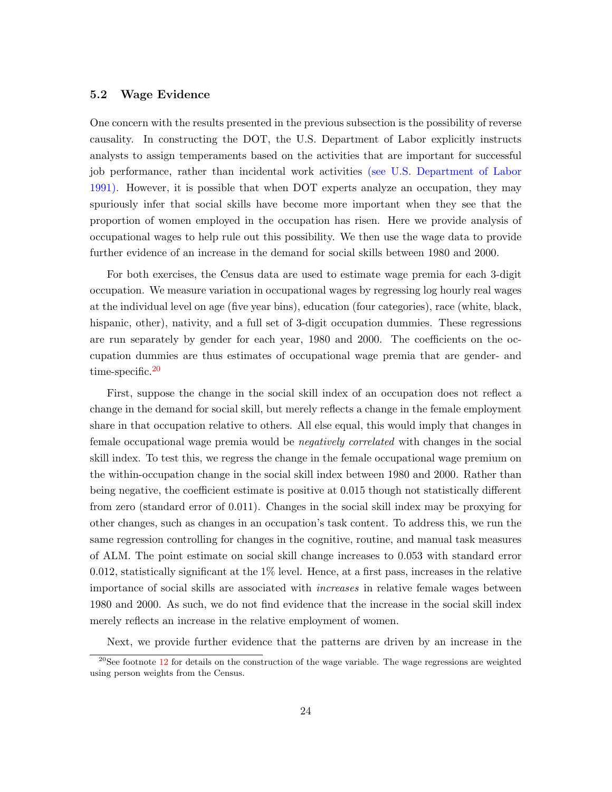#### 5.2 Wage Evidence

One concern with the results presented in the previous subsection is the possibility of reverse causality. In constructing the DOT, the U.S. Department of Labor explicitly instructs analysts to assign temperaments based on the activities that are important for successful job performance, rather than incidental work activities (see [U.S. Department of Labor](#page-38-9) [1991\)](#page-38-9). However, it is possible that when DOT experts analyze an occupation, they may spuriously infer that social skills have become more important when they see that the proportion of women employed in the occupation has risen. Here we provide analysis of occupational wages to help rule out this possibility. We then use the wage data to provide further evidence of an increase in the demand for social skills between 1980 and 2000.

For both exercises, the Census data are used to estimate wage premia for each 3-digit occupation. We measure variation in occupational wages by regressing log hourly real wages at the individual level on age (five year bins), education (four categories), race (white, black, hispanic, other), nativity, and a full set of 3-digit occupation dummies. These regressions are run separately by gender for each year, 1980 and 2000. The coefficients on the occupation dummies are thus estimates of occupational wage premia that are gender- and time-specific.<sup>[20](#page-0-0)</sup>

First, suppose the change in the social skill index of an occupation does not reflect a change in the demand for social skill, but merely reflects a change in the female employment share in that occupation relative to others. All else equal, this would imply that changes in female occupational wage premia would be negatively correlated with changes in the social skill index. To test this, we regress the change in the female occupational wage premium on the within-occupation change in the social skill index between 1980 and 2000. Rather than being negative, the coefficient estimate is positive at 0.015 though not statistically different from zero (standard error of 0.011). Changes in the social skill index may be proxying for other changes, such as changes in an occupation's task content. To address this, we run the same regression controlling for changes in the cognitive, routine, and manual task measures of ALM. The point estimate on social skill change increases to 0.053 with standard error 0.012, statistically significant at the 1% level. Hence, at a first pass, increases in the relative importance of social skills are associated with increases in relative female wages between 1980 and 2000. As such, we do not find evidence that the increase in the social skill index merely reflects an increase in the relative employment of women.

Next, we provide further evidence that the patterns are driven by an increase in the

 $20$ See footnote [12](#page-14-0) for details on the construction of the wage variable. The wage regressions are weighted using person weights from the Census.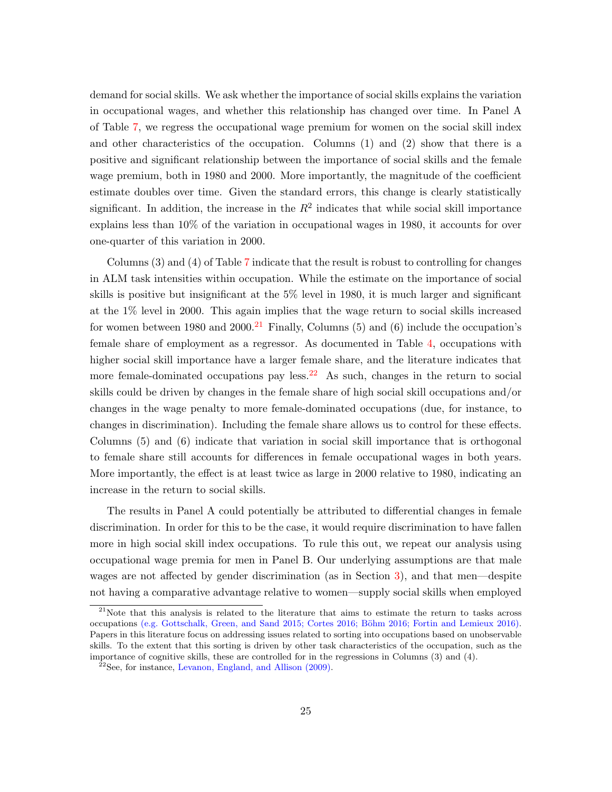demand for social skills. We ask whether the importance of social skills explains the variation in occupational wages, and whether this relationship has changed over time. In Panel A of Table [7,](#page-25-0) we regress the occupational wage premium for women on the social skill index and other characteristics of the occupation. Columns (1) and (2) show that there is a positive and significant relationship between the importance of social skills and the female wage premium, both in 1980 and 2000. More importantly, the magnitude of the coefficient estimate doubles over time. Given the standard errors, this change is clearly statistically significant. In addition, the increase in the  $R^2$  indicates that while social skill importance explains less than 10% of the variation in occupational wages in 1980, it accounts for over one-quarter of this variation in 2000.

Columns (3) and (4) of Table [7](#page-25-0) indicate that the result is robust to controlling for changes in ALM task intensities within occupation. While the estimate on the importance of social skills is positive but insignificant at the 5% level in 1980, it is much larger and significant at the 1% level in 2000. This again implies that the wage return to social skills increased for women between 1980 and 2000.<sup>[21](#page-0-0)</sup> Finally, Columns (5) and (6) include the occupation's female share of employment as a regressor. As documented in Table [4,](#page-19-0) occupations with higher social skill importance have a larger female share, and the literature indicates that more female-dominated occupations pay less.<sup>[22](#page-0-0)</sup> As such, changes in the return to social skills could be driven by changes in the female share of high social skill occupations and/or changes in the wage penalty to more female-dominated occupations (due, for instance, to changes in discrimination). Including the female share allows us to control for these effects. Columns (5) and (6) indicate that variation in social skill importance that is orthogonal to female share still accounts for differences in female occupational wages in both years. More importantly, the effect is at least twice as large in 2000 relative to 1980, indicating an increase in the return to social skills.

The results in Panel A could potentially be attributed to differential changes in female discrimination. In order for this to be the case, it would require discrimination to have fallen more in high social skill index occupations. To rule this out, we repeat our analysis using occupational wage premia for men in Panel B. Our underlying assumptions are that male wages are not affected by gender discrimination (as in Section [3\)](#page-7-0), and that men—despite not having a comparative advantage relative to women—supply social skills when employed

 $21$ Note that this analysis is related to the literature that aims to estimate the return to tasks across occupations (e.g. [Gottschalk, Green, and Sand](#page-37-8) [2015;](#page-37-8) [Cortes](#page-36-6) [2016;](#page-35-11) Böhm 2016; [Fortin and Lemieux](#page-36-12) [2016\)](#page-36-12). Papers in this literature focus on addressing issues related to sorting into occupations based on unobservable skills. To the extent that this sorting is driven by other task characteristics of the occupation, such as the importance of cognitive skills, these are controlled for in the regressions in Columns (3) and (4).

 $22$ See, for instance, [Levanon, England, and Allison](#page-37-9)  $(2009)$ .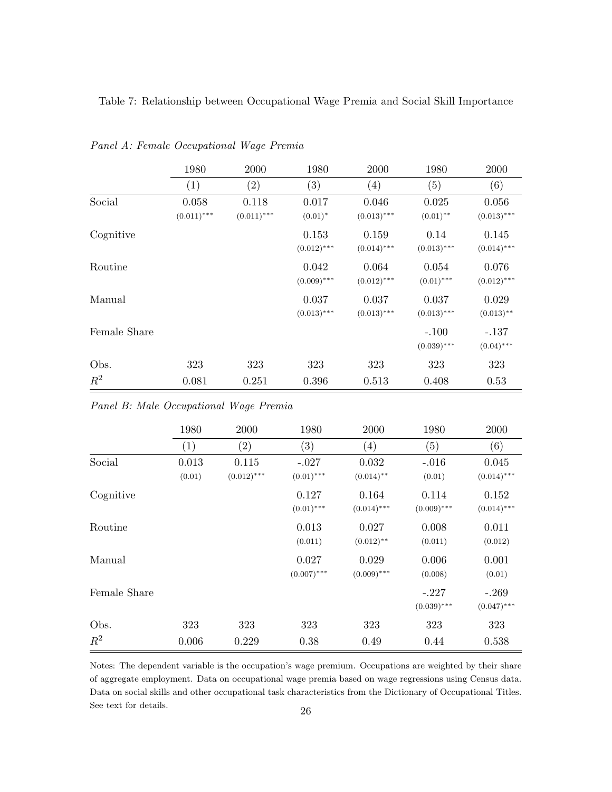<span id="page-25-0"></span>Table 7: Relationship between Occupational Wage Premia and Social Skill Importance

|              | 1980                   | 2000                   | 1980                   | 2000                   | 1980                     | 2000                    |
|--------------|------------------------|------------------------|------------------------|------------------------|--------------------------|-------------------------|
|              | (1)                    | $\left( 2\right)$      | (3)                    | $\left( 4\right)$      | (5)                      | (6)                     |
| Social       | 0.058<br>$(0.011)$ *** | 0.118<br>$(0.011)$ *** | 0.017<br>$(0.01)^*$    | 0.046<br>$(0.013)$ *** | 0.025<br>$(0.01)$ **     | 0.056<br>$(0.013)$ ***  |
| Cognitive    |                        |                        | 0.153<br>$(0.012)$ *** | 0.159<br>$(0.014)$ *** | 0.14<br>$(0.013)$ ***    | 0.145<br>$(0.014)$ ***  |
| Routine      |                        |                        | 0.042<br>$(0.009)$ *** | 0.064<br>$(0.012)$ *** | 0.054<br>$(0.01)$ ***    | 0.076<br>$(0.012)$ ***  |
| Manual       |                        |                        | 0.037<br>$(0.013)$ *** | 0.037<br>$(0.013)$ *** | 0.037<br>$(0.013)$ ***   | 0.029<br>$(0.013)$ **   |
| Female Share |                        |                        |                        |                        | $-.100$<br>$(0.039)$ *** | $-.137$<br>$(0.04)$ *** |
| Obs.         | 323                    | 323                    | 323                    | 323                    | 323                      | 323                     |
| $R^2$        | 0.081                  | 0.251                  | 0.396                  | 0.513                  | 0.408                    | 0.53                    |

Panel A: Female Occupational Wage Premia

Panel B: Male Occupational Wage Premia

|              | 1980            | 2000                   | 1980                    | 2000                   | 1980                     | 2000                     |
|--------------|-----------------|------------------------|-------------------------|------------------------|--------------------------|--------------------------|
|              | (1)             | $\left( 2\right)$      | (3)                     | $\left(4\right)$       | (5)                      | (6)                      |
| Social       | 0.013<br>(0.01) | 0.115<br>$(0.012)$ *** | $-.027$<br>$(0.01)$ *** | 0.032<br>$(0.014)$ **  | $-.016$<br>(0.01)        | 0.045<br>$(0.014)$ ***   |
| Cognitive    |                 |                        | 0.127<br>$(0.01)$ ***   | 0.164<br>$(0.014)$ *** | 0.114<br>$(0.009)$ ***   | 0.152<br>$(0.014)$ ***   |
| Routine      |                 |                        | 0.013<br>(0.011)        | 0.027<br>$(0.012)$ **  | 0.008<br>(0.011)         | 0.011<br>(0.012)         |
| Manual       |                 |                        | 0.027<br>$(0.007)$ ***  | 0.029<br>$(0.009)$ *** | 0.006<br>(0.008)         | 0.001<br>(0.01)          |
| Female Share |                 |                        |                         |                        | $-.227$<br>$(0.039)$ *** | $-.269$<br>$(0.047)$ *** |
| Obs.         | 323             | 323                    | 323                     | 323                    | 323                      | 323                      |
| $R^2$        | 0.006           | 0.229                  | 0.38                    | 0.49                   | 0.44                     | 0.538                    |

Notes: The dependent variable is the occupation's wage premium. Occupations are weighted by their share of aggregate employment. Data on occupational wage premia based on wage regressions using Census data. Data on social skills and other occupational task characteristics from the Dictionary of Occupational Titles. See text for details.  $\hspace{1cm} 26$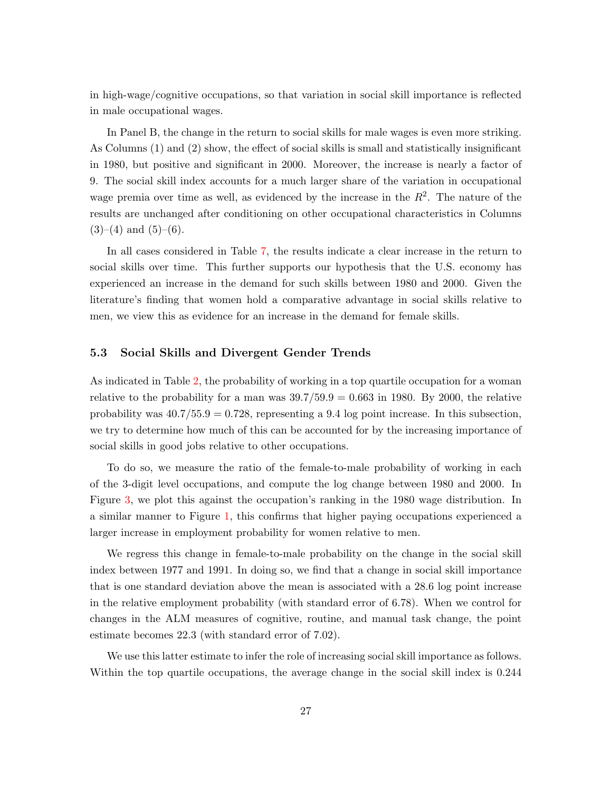in high-wage/cognitive occupations, so that variation in social skill importance is reflected in male occupational wages.

In Panel B, the change in the return to social skills for male wages is even more striking. As Columns (1) and (2) show, the effect of social skills is small and statistically insignificant in 1980, but positive and significant in 2000. Moreover, the increase is nearly a factor of 9. The social skill index accounts for a much larger share of the variation in occupational wage premia over time as well, as evidenced by the increase in the  $R^2$ . The nature of the results are unchanged after conditioning on other occupational characteristics in Columns  $(3)-(4)$  and  $(5)-(6)$ .

In all cases considered in Table [7,](#page-25-0) the results indicate a clear increase in the return to social skills over time. This further supports our hypothesis that the U.S. economy has experienced an increase in the demand for such skills between 1980 and 2000. Given the literature's finding that women hold a comparative advantage in social skills relative to men, we view this as evidence for an increase in the demand for female skills.

#### 5.3 Social Skills and Divergent Gender Trends

As indicated in Table [2,](#page-6-0) the probability of working in a top quartile occupation for a woman relative to the probability for a man was  $39.7/59.9 = 0.663$  in 1980. By 2000, the relative probability was  $40.7/55.9 = 0.728$ , representing a 9.4 log point increase. In this subsection, we try to determine how much of this can be accounted for by the increasing importance of social skills in good jobs relative to other occupations.

To do so, we measure the ratio of the female-to-male probability of working in each of the 3-digit level occupations, and compute the log change between 1980 and 2000. In Figure [3,](#page-27-1) we plot this against the occupation's ranking in the 1980 wage distribution. In a similar manner to Figure [1,](#page-21-0) this confirms that higher paying occupations experienced a larger increase in employment probability for women relative to men.

We regress this change in female-to-male probability on the change in the social skill index between 1977 and 1991. In doing so, we find that a change in social skill importance that is one standard deviation above the mean is associated with a 28.6 log point increase in the relative employment probability (with standard error of 6.78). When we control for changes in the ALM measures of cognitive, routine, and manual task change, the point estimate becomes 22.3 (with standard error of 7.02).

We use this latter estimate to infer the role of increasing social skill importance as follows. Within the top quartile occupations, the average change in the social skill index is 0.244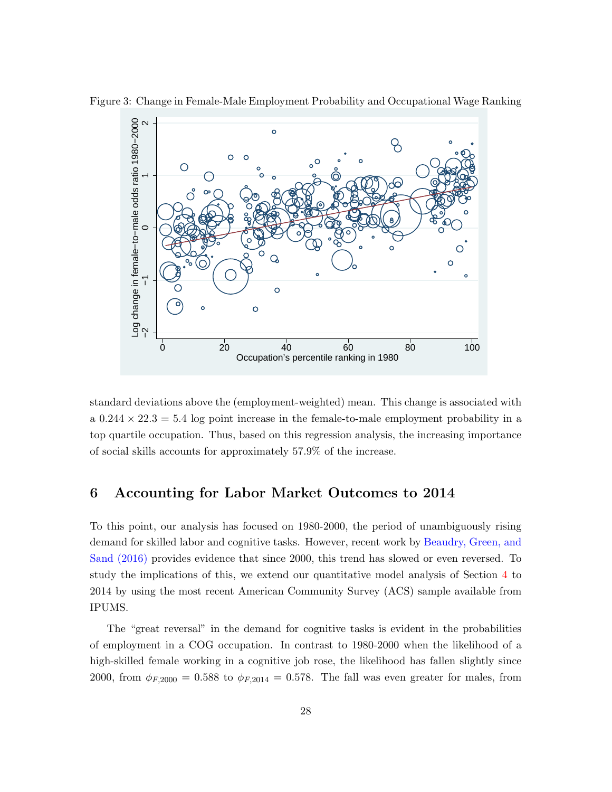<span id="page-27-1"></span>

Figure 3: Change in Female-Male Employment Probability and Occupational Wage Ranking

standard deviations above the (employment-weighted) mean. This change is associated with a  $0.244 \times 22.3 = 5.4$  log point increase in the female-to-male employment probability in a top quartile occupation. Thus, based on this regression analysis, the increasing importance of social skills accounts for approximately 57.9% of the increase.

## <span id="page-27-0"></span>6 Accounting for Labor Market Outcomes to 2014

To this point, our analysis has focused on 1980-2000, the period of unambiguously rising demand for skilled labor and cognitive tasks. However, recent work by [Beaudry, Green, and](#page-35-1) [Sand](#page-35-1) [\(2016\)](#page-35-1) provides evidence that since 2000, this trend has slowed or even reversed. To study the implications of this, we extend our quantitative model analysis of Section [4](#page-10-0) to 2014 by using the most recent American Community Survey (ACS) sample available from IPUMS.

The "great reversal" in the demand for cognitive tasks is evident in the probabilities of employment in a COG occupation. In contrast to 1980-2000 when the likelihood of a high-skilled female working in a cognitive job rose, the likelihood has fallen slightly since 2000, from  $\phi_{F,2000} = 0.588$  to  $\phi_{F,2014} = 0.578$ . The fall was even greater for males, from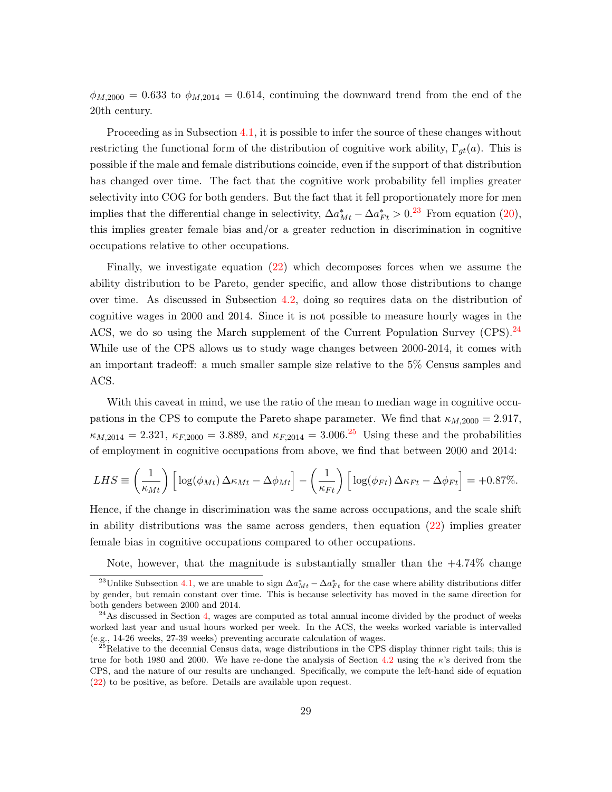$\phi_{M,2000} = 0.633$  to  $\phi_{M,2014} = 0.614$ , continuing the downward trend from the end of the 20th century.

Proceeding as in Subsection [4.1,](#page-11-3) it is possible to infer the source of these changes without restricting the functional form of the distribution of cognitive work ability,  $\Gamma_{qt}(a)$ . This is possible if the male and female distributions coincide, even if the support of that distribution has changed over time. The fact that the cognitive work probability fell implies greater selectivity into COG for both genders. But the fact that it fell proportionately more for men implies that the differential change in selectivity,  $\Delta a_{Mt}^* - \Delta a_{Ft}^* > 0.23$  $\Delta a_{Mt}^* - \Delta a_{Ft}^* > 0.23$  From equation [\(20\)](#page-11-2), this implies greater female bias and/or a greater reduction in discrimination in cognitive occupations relative to other occupations.

Finally, we investigate equation [\(22\)](#page-13-0) which decomposes forces when we assume the ability distribution to be Pareto, gender specific, and allow those distributions to change over time. As discussed in Subsection [4.2,](#page-12-0) doing so requires data on the distribution of cognitive wages in 2000 and 2014. Since it is not possible to measure hourly wages in the ACS, we do so using the March supplement of the Current Population Survey (CPS).<sup>[24](#page-0-0)</sup> While use of the CPS allows us to study wage changes between 2000-2014, it comes with an important tradeoff: a much smaller sample size relative to the 5% Census samples and ACS.

With this caveat in mind, we use the ratio of the mean to median wage in cognitive occupations in the CPS to compute the Pareto shape parameter. We find that  $\kappa_{M,2000} = 2.917$ ,  $\kappa_{M,2014} = 2.321, \ \kappa_{F,2000} = 3.889, \text{ and } \kappa_{F,2014} = 3.006^{25}$  $\kappa_{M,2014} = 2.321, \ \kappa_{F,2000} = 3.889, \text{ and } \kappa_{F,2014} = 3.006^{25}$  $\kappa_{M,2014} = 2.321, \ \kappa_{F,2000} = 3.889, \text{ and } \kappa_{F,2014} = 3.006^{25}$  Using these and the probabilities of employment in cognitive occupations from above, we find that between 2000 and 2014:

$$
LHS \equiv \left(\frac{1}{\kappa_{Mt}}\right) \left[ \log(\phi_{Mt}) \Delta \kappa_{Mt} - \Delta \phi_{Mt} \right] - \left(\frac{1}{\kappa_{Ft}}\right) \left[ \log(\phi_{Ft}) \Delta \kappa_{Ft} - \Delta \phi_{Ft} \right] = +0.87\%.
$$

Hence, if the change in discrimination was the same across occupations, and the scale shift in ability distributions was the same across genders, then equation [\(22\)](#page-13-0) implies greater female bias in cognitive occupations compared to other occupations.

Note, however, that the magnitude is substantially smaller than the  $+4.74\%$  change

<sup>&</sup>lt;sup>23</sup>Unlike Subsection [4.1,](#page-11-3) we are unable to sign  $\Delta a_{Mt}^* - \Delta a_{Ft}^*$  for the case where ability distributions differ by gender, but remain constant over time. This is because selectivity has moved in the same direction for both genders between 2000 and 2014.

 $^{24}$ As discussed in Section [4,](#page-10-0) wages are computed as total annual income divided by the product of weeks worked last year and usual hours worked per week. In the ACS, the weeks worked variable is intervalled (e.g., 14-26 weeks, 27-39 weeks) preventing accurate calculation of wages.

 $^{25}$ Relative to the decennial Census data, wage distributions in the CPS display thinner right tails; this is true for both 1980 and 2000. We have re-done the analysis of Section [4.2](#page-12-0) using the κ's derived from the CPS, and the nature of our results are unchanged. Specifically, we compute the left-hand side of equation [\(22\)](#page-13-0) to be positive, as before. Details are available upon request.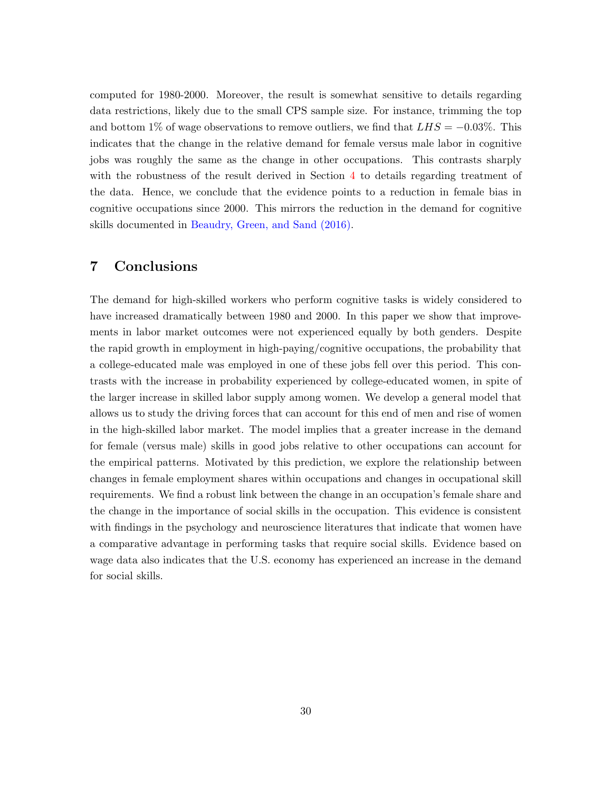computed for 1980-2000. Moreover, the result is somewhat sensitive to details regarding data restrictions, likely due to the small CPS sample size. For instance, trimming the top and bottom 1% of wage observations to remove outliers, we find that  $LHS = -0.03\%$ . This indicates that the change in the relative demand for female versus male labor in cognitive jobs was roughly the same as the change in other occupations. This contrasts sharply with the robustness of the result derived in Section [4](#page-10-0) to details regarding treatment of the data. Hence, we conclude that the evidence points to a reduction in female bias in cognitive occupations since 2000. This mirrors the reduction in the demand for cognitive skills documented in [Beaudry, Green, and Sand](#page-35-1) [\(2016\)](#page-35-1).

## 7 Conclusions

The demand for high-skilled workers who perform cognitive tasks is widely considered to have increased dramatically between 1980 and 2000. In this paper we show that improvements in labor market outcomes were not experienced equally by both genders. Despite the rapid growth in employment in high-paying/cognitive occupations, the probability that a college-educated male was employed in one of these jobs fell over this period. This contrasts with the increase in probability experienced by college-educated women, in spite of the larger increase in skilled labor supply among women. We develop a general model that allows us to study the driving forces that can account for this end of men and rise of women in the high-skilled labor market. The model implies that a greater increase in the demand for female (versus male) skills in good jobs relative to other occupations can account for the empirical patterns. Motivated by this prediction, we explore the relationship between changes in female employment shares within occupations and changes in occupational skill requirements. We find a robust link between the change in an occupation's female share and the change in the importance of social skills in the occupation. This evidence is consistent with findings in the psychology and neuroscience literatures that indicate that women have a comparative advantage in performing tasks that require social skills. Evidence based on wage data also indicates that the U.S. economy has experienced an increase in the demand for social skills.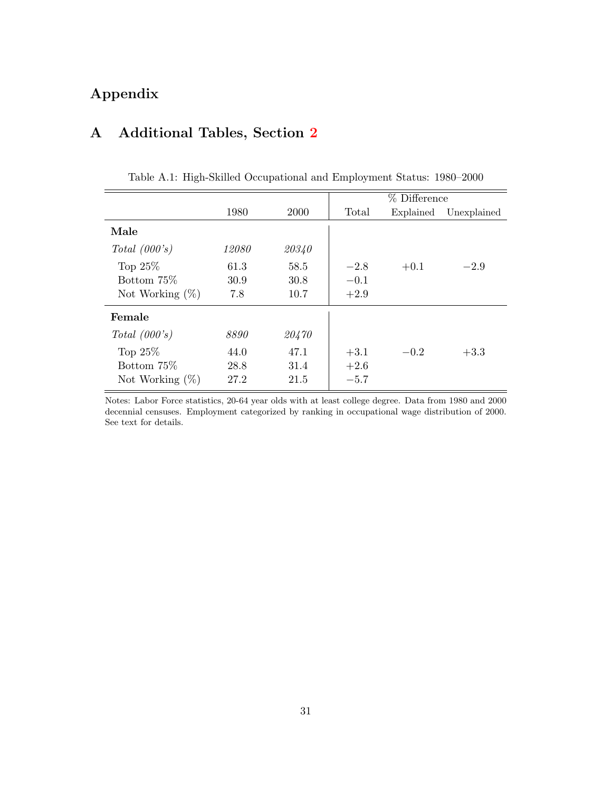# Appendix

# A Additional Tables, Section [2](#page-2-0)

|                    |       |       | % Difference |           |             |  |
|--------------------|-------|-------|--------------|-----------|-------------|--|
|                    |       |       |              |           |             |  |
|                    | 1980  | 2000  | Total        | Explained | Unexplained |  |
| Male               |       |       |              |           |             |  |
| Total $(000's)$    | 12080 | 20340 |              |           |             |  |
| Top $25\%$         | 61.3  | 58.5  | $-2.8$       | $+0.1$    | $-2.9$      |  |
| Bottom 75\%        | 30.9  | 30.8  | $-0.1$       |           |             |  |
| Not Working $(\%)$ | 7.8   | 10.7  | $+2.9$       |           |             |  |
| Female             |       |       |              |           |             |  |
| Total $(000's)$    | 8890  | 20470 |              |           |             |  |
| Top $25\%$         | 44.0  | 47.1  | $+3.1$       | $-0.2$    | $+3.3$      |  |
| Bottom 75\%        | 28.8  | 31.4  | $+2.6$       |           |             |  |
| Not Working $(\%)$ | 27.2  | 21.5  | $-5.7$       |           |             |  |

Table A.1: High-Skilled Occupational and Employment Status: 1980–2000

Notes: Labor Force statistics, 20-64 year olds with at least college degree. Data from 1980 and 2000 decennial censuses. Employment categorized by ranking in occupational wage distribution of 2000. See text for details.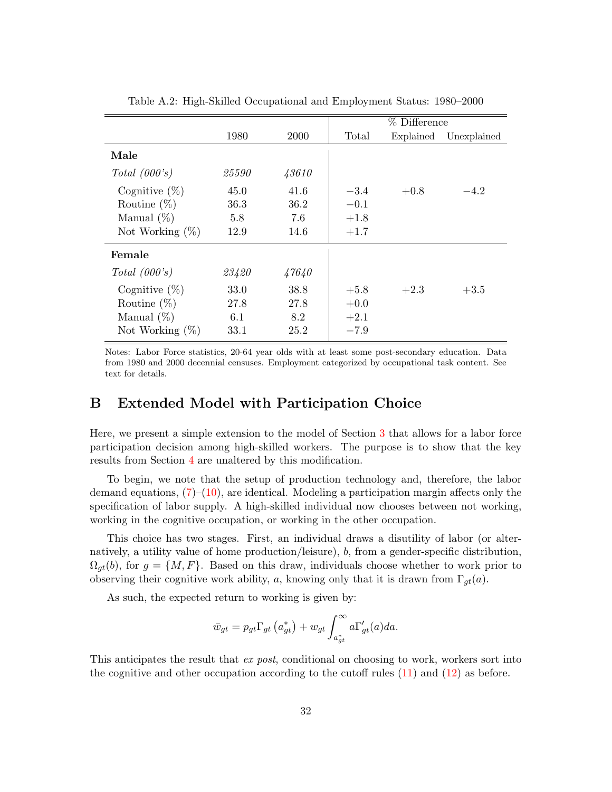|                    |       |       | % Difference |           |             |
|--------------------|-------|-------|--------------|-----------|-------------|
|                    | 1980  | 2000  | Total        | Explained | Unexplained |
| Male               |       |       |              |           |             |
| Total $(000's)$    | 25590 | 43610 |              |           |             |
| Cognitive $(\%)$   | 45.0  | 41.6  | $-3.4$       | $+0.8$    | $-4.2$      |
| Routine $(\%)$     | 36.3  | 36.2  | $-0.1$       |           |             |
| Manual $(\%)$      | 5.8   | 7.6   | $+1.8$       |           |             |
| Not Working $(\%)$ | 12.9  | 14.6  | $+1.7$       |           |             |
| Female             |       |       |              |           |             |
| Total $(000's)$    | 23420 | 47640 |              |           |             |
| Cognitive $(\%)$   | 33.0  | 38.8  | $+5.8$       | $+2.3$    | $+3.5$      |
| Routine $(\%)$     | 27.8  | 27.8  | $+0.0$       |           |             |
| Manual $(\%)$      | 6.1   | 8.2   | $+2.1$       |           |             |
| Not Working $(\%)$ | 33.1  | 25.2  | $-7.9$       |           |             |

Table A.2: High-Skilled Occupational and Employment Status: 1980–2000

Notes: Labor Force statistics, 20-64 year olds with at least some post-secondary education. Data from 1980 and 2000 decennial censuses. Employment categorized by occupational task content. See text for details.

## <span id="page-31-0"></span>B Extended Model with Participation Choice

Here, we present a simple extension to the model of Section [3](#page-7-0) that allows for a labor force participation decision among high-skilled workers. The purpose is to show that the key results from Section [4](#page-10-0) are unaltered by this modification.

To begin, we note that the setup of production technology and, therefore, the labor demand equations,  $(7)-(10)$  $(7)-(10)$ , are identical. Modeling a participation margin affects only the specification of labor supply. A high-skilled individual now chooses between not working, working in the cognitive occupation, or working in the other occupation.

This choice has two stages. First, an individual draws a disutility of labor (or alternatively, a utility value of home production/leisure), b, from a gender-specific distribution,  $\Omega_{gt}(b)$ , for  $g = \{M, F\}$ . Based on this draw, individuals choose whether to work prior to observing their cognitive work ability, a, knowing only that it is drawn from  $\Gamma_{qt}(a)$ .

As such, the expected return to working is given by:

$$
\bar{w}_{gt} = p_{gt} \Gamma_{gt} (a_{gt}^*) + w_{gt} \int_{a_{gt}^*}^{\infty} a \Gamma_{gt}'(a) da.
$$

This anticipates the result that ex post, conditional on choosing to work, workers sort into the cognitive and other occupation according to the cutoff rules  $(11)$  and  $(12)$  as before.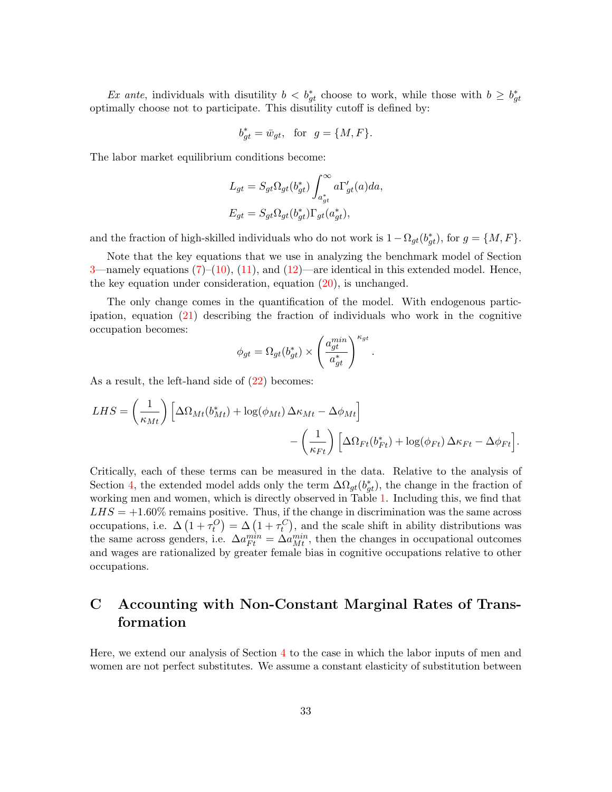Ex ante, individuals with disutility  $b < b_{gt}^*$  choose to work, while those with  $b \geq b_{gt}^*$ optimally choose not to participate. This disutility cutoff is defined by:

$$
b_{gt}^* = \bar{w}_{gt}, \text{ for } g = \{M, F\}.
$$

The labor market equilibrium conditions become:

$$
L_{gt} = S_{gt} \Omega_{gt}(b_{gt}^*) \int_{a_{gt}^*}^{\infty} a \Gamma_{gt}'(a) da,
$$
  
\n
$$
E_{gt} = S_{gt} \Omega_{gt}(b_{gt}^*) \Gamma_{gt}(a_{gt}^*),
$$

and the fraction of high-skilled individuals who do not work is  $1 - \Omega_{gt}(b_{gt}^*)$ , for  $g = \{M, F\}$ .

Note that the key equations that we use in analyzing the benchmark model of Section [3—](#page-7-0)namely equations  $(7)-(10)$  $(7)-(10)$ ,  $(11)$ , and  $(12)$ —are identical in this extended model. Hence, the key equation under consideration, equation [\(20\)](#page-11-2), is unchanged.

The only change comes in the quantification of the model. With endogenous participation, equation [\(21\)](#page-13-1) describing the fraction of individuals who work in the cognitive occupation becomes:

$$
\phi_{gt} = \Omega_{gt}(b_{gt}^*) \times \left(\frac{a_{gt}^{min}}{a_{gt}^*}\right)^{\kappa_{gt}}
$$

.

As a result, the left-hand side of  $(22)$  becomes:

$$
LHS = \left(\frac{1}{\kappa_{Mt}}\right) \left[\Delta\Omega_{Mt}(b^*_{Mt}) + \log(\phi_{Mt}) \Delta\kappa_{Mt} - \Delta\phi_{Mt}\right] - \left(\frac{1}{\kappa_{Ft}}\right) \left[\Delta\Omega_{Ft}(b^*_{Ft}) + \log(\phi_{Ft}) \Delta\kappa_{Ft} - \Delta\phi_{Ft}\right].
$$

Critically, each of these terms can be measured in the data. Relative to the analysis of Section [4,](#page-10-0) the extended model adds only the term  $\Delta\Omega_{gt}(b_{gt}^*)$ , the change in the fraction of working men and women, which is directly observed in Table [1.](#page-4-0) Including this, we find that  $LHS = +1.60\%$  remains positive. Thus, if the change in discrimination was the same across occupations, i.e.  $\Delta \left(1 + \tau_t^O\right) = \Delta \left(1 + \tau_t^C\right)$ , and the scale shift in ability distributions was the same across genders, i.e.  $\Delta a_{Ft}^{min} = \Delta a_{Mt}^{min}$ , then the changes in occupational outcomes and wages are rationalized by greater female bias in cognitive occupations relative to other occupations.

## <span id="page-32-0"></span>C Accounting with Non-Constant Marginal Rates of Transformation

Here, we extend our analysis of Section [4](#page-10-0) to the case in which the labor inputs of men and women are not perfect substitutes. We assume a constant elasticity of substitution between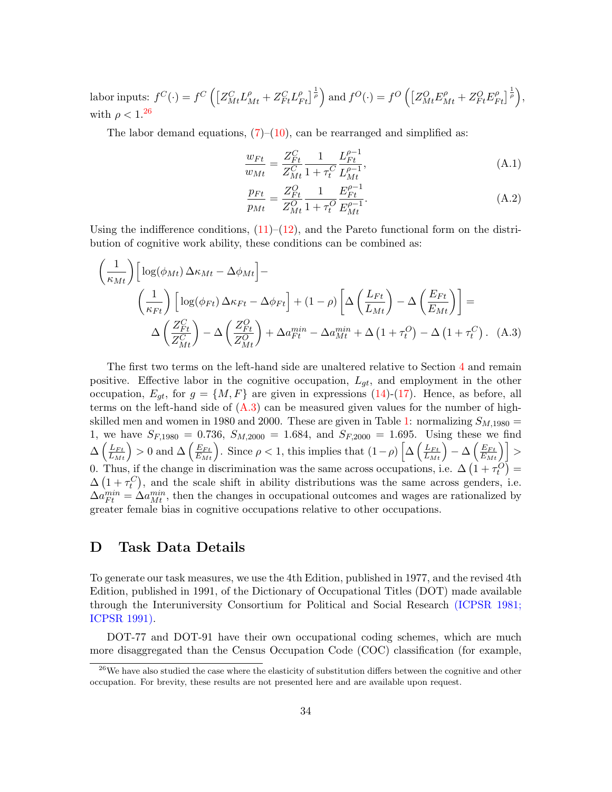labor inputs:  $f^C(\cdot) = f^C\left(\left[Z_{Mt}^C L_{Mt}^{\rho} + Z_{Ft}^C L_{Ft}^{\rho}\right]^{\frac{1}{\rho}}\right)$  and  $f^O(\cdot) = f^O\left(\left[Z_{Mt}^O E_{Mt}^{\rho} + Z_{Ft}^O E_{Ft}^{\rho}\right]^{\frac{1}{\rho}}\right)$ , with  $\rho < 1.26$  $\rho < 1.26$ 

The labor demand equations,  $(7)-(10)$  $(7)-(10)$ , can be rearranged and simplified as:

$$
\frac{w_{Ft}}{w_{Mt}} = \frac{Z_{Ft}^C}{Z_{Mt}^C} \frac{1}{1 + \tau_t^C} \frac{L_{Ft}^{\rho - 1}}{L_{Mt}^{\rho - 1}},\tag{A.1}
$$

<span id="page-33-1"></span>
$$
\frac{p_{Ft}}{p_{Mt}} = \frac{Z_{Ft}^O}{Z_{Mt}^O} \frac{1}{1 + \tau_t^O} \frac{E_{Ft}^{\rho - 1}}{E_{Mt}^{\rho - 1}}.
$$
\n(A.2)

Using the indifference conditions,  $(11)$ – $(12)$ , and the Pareto functional form on the distribution of cognitive work ability, these conditions can be combined as:

$$
\left(\frac{1}{\kappa_{Mt}}\right) \left[ \log(\phi_{Mt}) \Delta \kappa_{Mt} - \Delta \phi_{Mt} \right] -
$$
\n
$$
\left(\frac{1}{\kappa_{Ft}}\right) \left[ \log(\phi_{Ft}) \Delta \kappa_{Ft} - \Delta \phi_{Ft} \right] + (1 - \rho) \left[ \Delta \left(\frac{L_{Ft}}{L_{Mt}}\right) - \Delta \left(\frac{E_{Ft}}{E_{Mt}}\right) \right] =
$$
\n
$$
\Delta \left(\frac{Z_{Ft}^C}{Z_{Mt}^C}\right) - \Delta \left(\frac{Z_{Ft}^O}{Z_{Mt}^O}\right) + \Delta a_{Ft}^{min} - \Delta a_{Mt}^{min} + \Delta \left(1 + \tau_t^O\right) - \Delta \left(1 + \tau_t^C\right). \tag{A.3}
$$

The first two terms on the left-hand side are unaltered relative to Section [4](#page-10-0) and remain positive. Effective labor in the cognitive occupation,  $L_{qt}$ , and employment in the other occupation,  $E_{gt}$ , for  $g = \{M, F\}$  are given in expressions [\(14\)](#page-10-2)-[\(17\)](#page-10-3). Hence, as before, all terms on the left-hand side of  $(A.3)$  can be measured given values for the number of high-skilled men and women in 1980 and 2000. These are given in Table [1:](#page-4-0) normalizing  $S_{M,1980} =$ 1, we have  $S_{F,1980} = 0.736$ ,  $S_{M,2000} = 1.684$ , and  $S_{F,2000} = 1.695$ . Using these we find  $\Delta\left(\frac{L_{Ft}}{L_{Mt}}\right) > 0$  and  $\Delta\left(\frac{E_{Ft}}{E_{Mt}}\right)$ . Since  $\rho < 1$ , this implies that  $(1-\rho)\left[\Delta\left(\frac{L_{Ft}}{L_{Mt}}\right) - \Delta\left(\frac{E_{Ft}}{E_{Mt}}\right)\right] >$ 0. Thus, if the change in discrimination was the same across occupations, i.e.  $\Delta\left(1+\tau_t^O\right)$  $\Delta\left(1+\tau_t^C\right)$ , and the scale shift in ability distributions was the same across genders, i.e.  $\Delta a_{Ft}^{min} = \Delta a_{Mt}^{min}$ , then the changes in occupational outcomes and wages are rationalized by greater female bias in cognitive occupations relative to other occupations.

## <span id="page-33-0"></span>D Task Data Details

To generate our task measures, we use the 4th Edition, published in 1977, and the revised 4th Edition, published in 1991, of the Dictionary of Occupational Titles (DOT) made available through the Interuniversity Consortium for Political and Social Research [\(ICPSR 1981;](#page-37-7) [ICPSR 1991\)](#page-37-10).

DOT-77 and DOT-91 have their own occupational coding schemes, which are much more disaggregated than the Census Occupation Code (COC) classification (for example,

 $26$ We have also studied the case where the elasticity of substitution differs between the cognitive and other occupation. For brevity, these results are not presented here and are available upon request.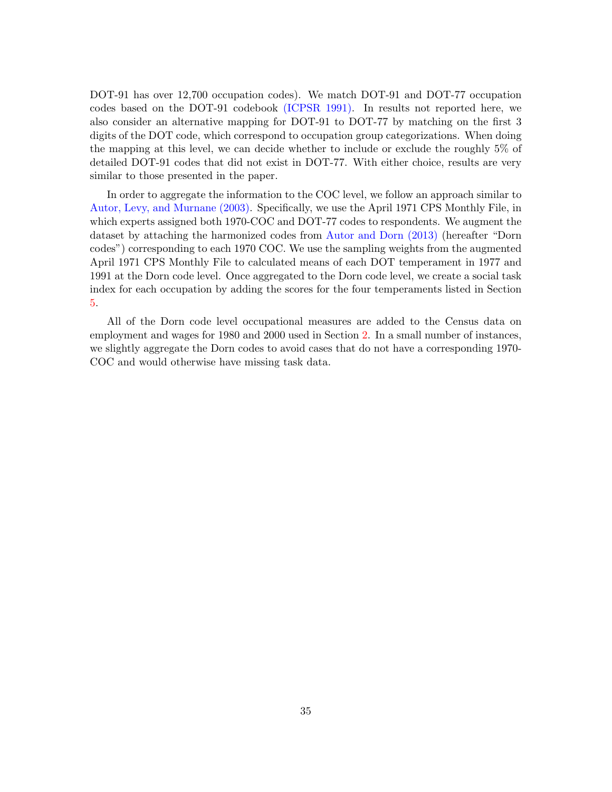DOT-91 has over 12,700 occupation codes). We match DOT-91 and DOT-77 occupation codes based on the DOT-91 codebook [\(ICPSR 1991\)](#page-37-10). In results not reported here, we also consider an alternative mapping for DOT-91 to DOT-77 by matching on the first 3 digits of the DOT code, which correspond to occupation group categorizations. When doing the mapping at this level, we can decide whether to include or exclude the roughly 5% of detailed DOT-91 codes that did not exist in DOT-77. With either choice, results are very similar to those presented in the paper.

In order to aggregate the information to the COC level, we follow an approach similar to [Autor, Levy, and Murnane](#page-35-4) [\(2003\)](#page-35-4). Specifically, we use the April 1971 CPS Monthly File, in which experts assigned both 1970-COC and DOT-77 codes to respondents. We augment the dataset by attaching the harmonized codes from [Autor and Dorn](#page-35-5) [\(2013\)](#page-35-5) (hereafter "Dorn codes") corresponding to each 1970 COC. We use the sampling weights from the augmented April 1971 CPS Monthly File to calculated means of each DOT temperament in 1977 and 1991 at the Dorn code level. Once aggregated to the Dorn code level, we create a social task index for each occupation by adding the scores for the four temperaments listed in Section [5.](#page-16-0)

All of the Dorn code level occupational measures are added to the Census data on employment and wages for 1980 and 2000 used in Section [2.](#page-2-0) In a small number of instances, we slightly aggregate the Dorn codes to avoid cases that do not have a corresponding 1970- COC and would otherwise have missing task data.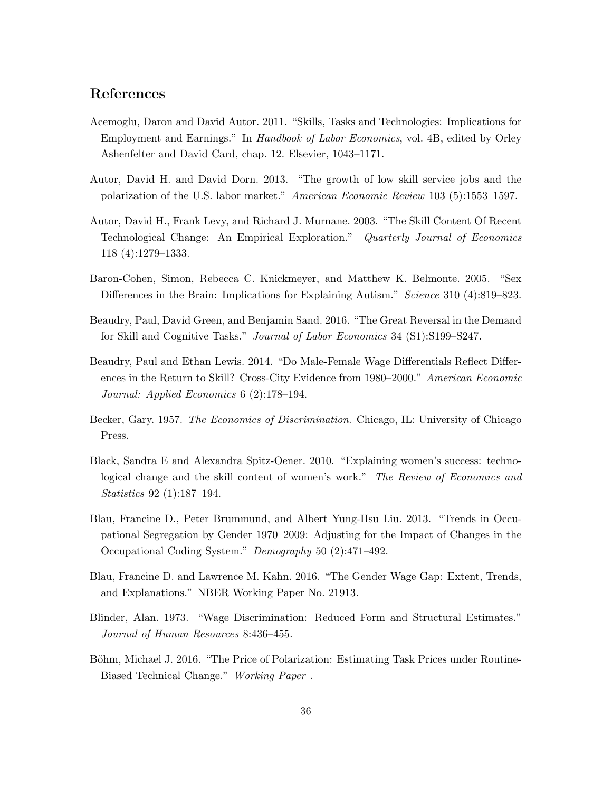## References

- <span id="page-35-0"></span>Acemoglu, Daron and David Autor. 2011. "Skills, Tasks and Technologies: Implications for Employment and Earnings." In Handbook of Labor Economics, vol. 4B, edited by Orley Ashenfelter and David Card, chap. 12. Elsevier, 1043–1171.
- <span id="page-35-5"></span>Autor, David H. and David Dorn. 2013. "The growth of low skill service jobs and the polarization of the U.S. labor market." American Economic Review 103 (5):1553–1597.
- <span id="page-35-4"></span>Autor, David H., Frank Levy, and Richard J. Murnane. 2003. "The Skill Content Of Recent Technological Change: An Empirical Exploration." Quarterly Journal of Economics 118 (4):1279–1333.
- <span id="page-35-2"></span>Baron-Cohen, Simon, Rebecca C. Knickmeyer, and Matthew K. Belmonte. 2005. "Sex Differences in the Brain: Implications for Explaining Autism." Science 310 (4):819–823.
- <span id="page-35-1"></span>Beaudry, Paul, David Green, and Benjamin Sand. 2016. "The Great Reversal in the Demand for Skill and Cognitive Tasks." Journal of Labor Economics 34 (S1):S199–S247.
- <span id="page-35-10"></span>Beaudry, Paul and Ethan Lewis. 2014. "Do Male-Female Wage Differentials Reflect Differences in the Return to Skill? Cross-City Evidence from 1980–2000." American Economic Journal: Applied Economics 6 (2):178–194.
- <span id="page-35-7"></span>Becker, Gary. 1957. *The Economics of Discrimination*. Chicago, IL: University of Chicago Press.
- <span id="page-35-9"></span>Black, Sandra E and Alexandra Spitz-Oener. 2010. "Explaining women's success: technological change and the skill content of women's work." The Review of Economics and Statistics 92 (1):187–194.
- <span id="page-35-3"></span>Blau, Francine D., Peter Brummund, and Albert Yung-Hsu Liu. 2013. "Trends in Occupational Segregation by Gender 1970–2009: Adjusting for the Impact of Changes in the Occupational Coding System." Demography 50 (2):471–492.
- <span id="page-35-8"></span>Blau, Francine D. and Lawrence M. Kahn. 2016. "The Gender Wage Gap: Extent, Trends, and Explanations." NBER Working Paper No. 21913.
- <span id="page-35-6"></span>Blinder, Alan. 1973. "Wage Discrimination: Reduced Form and Structural Estimates." Journal of Human Resources 8:436–455.
- <span id="page-35-11"></span>Böhm, Michael J. 2016. "The Price of Polarization: Estimating Task Prices under Routine-Biased Technical Change." Working Paper .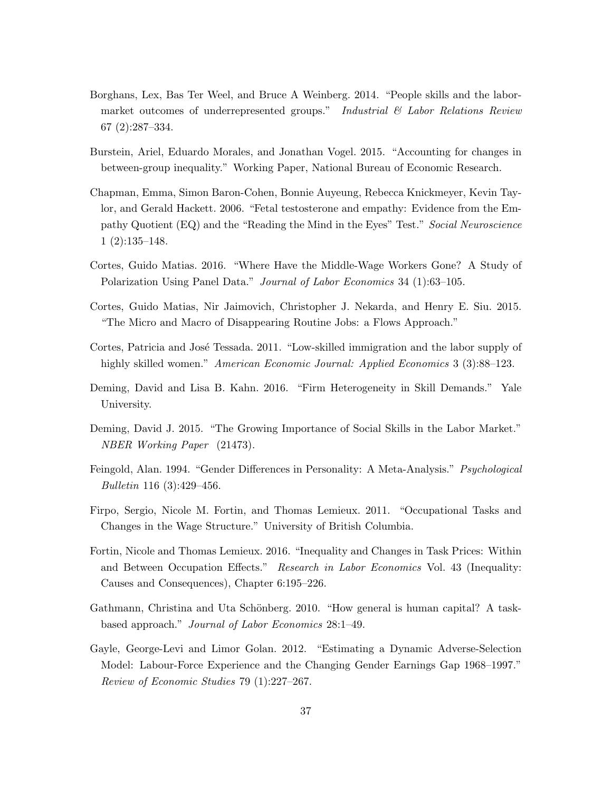- <span id="page-36-4"></span>Borghans, Lex, Bas Ter Weel, and Bruce A Weinberg. 2014. "People skills and the labormarket outcomes of underrepresented groups." Industrial  $\mathcal C$  Labor Relations Review 67 (2):287–334.
- <span id="page-36-8"></span>Burstein, Ariel, Eduardo Morales, and Jonathan Vogel. 2015. "Accounting for changes in between-group inequality." Working Paper, National Bureau of Economic Research.
- <span id="page-36-1"></span>Chapman, Emma, Simon Baron-Cohen, Bonnie Auyeung, Rebecca Knickmeyer, Kevin Taylor, and Gerald Hackett. 2006. "Fetal testosterone and empathy: Evidence from the Empathy Quotient (EQ) and the "Reading the Mind in the Eyes" Test." Social Neuroscience 1 (2):135–148.
- <span id="page-36-6"></span>Cortes, Guido Matias. 2016. "Where Have the Middle-Wage Workers Gone? A Study of Polarization Using Panel Data." Journal of Labor Economics 34 (1):63–105.
- <span id="page-36-7"></span>Cortes, Guido Matias, Nir Jaimovich, Christopher J. Nekarda, and Henry E. Siu. 2015. "The Micro and Macro of Disappearing Routine Jobs: a Flows Approach."
- <span id="page-36-2"></span>Cortes, Patricia and José Tessada. 2011. "Low-skilled immigration and the labor supply of highly skilled women." American Economic Journal: Applied Economics 3 (3):88–123.
- <span id="page-36-11"></span>Deming, David and Lisa B. Kahn. 2016. "Firm Heterogeneity in Skill Demands." Yale University.
- <span id="page-36-5"></span>Deming, David J. 2015. "The Growing Importance of Social Skills in the Labor Market." NBER Working Paper (21473).
- <span id="page-36-0"></span>Feingold, Alan. 1994. "Gender Differences in Personality: A Meta-Analysis." Psychological Bulletin 116 (3):429–456.
- <span id="page-36-9"></span>Firpo, Sergio, Nicole M. Fortin, and Thomas Lemieux. 2011. "Occupational Tasks and Changes in the Wage Structure." University of British Columbia.
- <span id="page-36-12"></span>Fortin, Nicole and Thomas Lemieux. 2016. "Inequality and Changes in Task Prices: Within and Between Occupation Effects." Research in Labor Economics Vol. 43 (Inequality: Causes and Consequences), Chapter 6:195–226.
- <span id="page-36-3"></span>Gathmann, Christina and Uta Schönberg. 2010. "How general is human capital? A taskbased approach." Journal of Labor Economics 28:1–49.
- <span id="page-36-10"></span>Gayle, George-Levi and Limor Golan. 2012. "Estimating a Dynamic Adverse-Selection Model: Labour-Force Experience and the Changing Gender Earnings Gap 1968–1997." Review of Economic Studies 79 (1):227–267.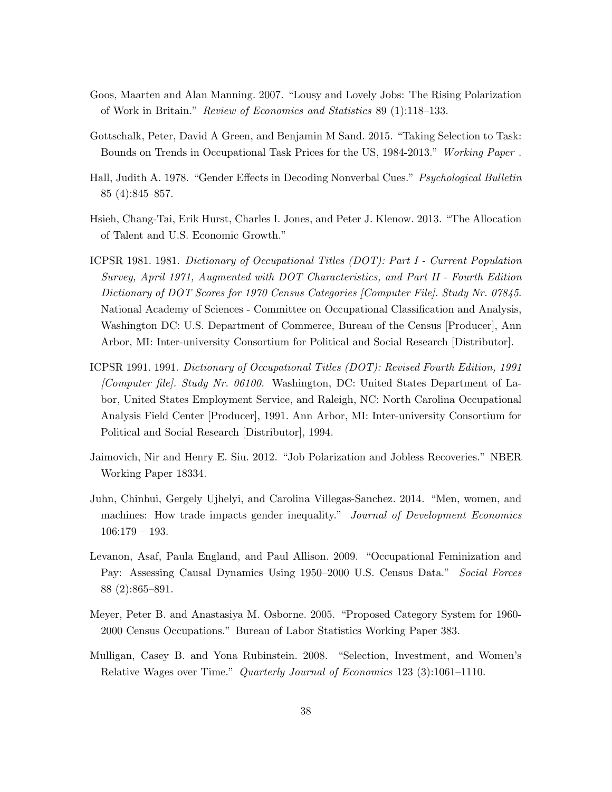- <span id="page-37-3"></span>Goos, Maarten and Alan Manning. 2007. "Lousy and Lovely Jobs: The Rising Polarization of Work in Britain." Review of Economics and Statistics 89 (1):118–133.
- <span id="page-37-8"></span>Gottschalk, Peter, David A Green, and Benjamin M Sand. 2015. "Taking Selection to Task: Bounds on Trends in Occupational Task Prices for the US, 1984-2013." Working Paper .
- <span id="page-37-0"></span>Hall, Judith A. 1978. "Gender Effects in Decoding Nonverbal Cues." Psychological Bulletin 85 (4):845–857.
- <span id="page-37-1"></span>Hsieh, Chang-Tai, Erik Hurst, Charles I. Jones, and Peter J. Klenow. 2013. "The Allocation of Talent and U.S. Economic Growth."
- <span id="page-37-7"></span>ICPSR 1981. 1981. Dictionary of Occupational Titles (DOT): Part I - Current Population Survey, April 1971, Augmented with DOT Characteristics, and Part II - Fourth Edition Dictionary of DOT Scores for 1970 Census Categories [Computer File]. Study Nr. 07845. National Academy of Sciences - Committee on Occupational Classification and Analysis, Washington DC: U.S. Department of Commerce, Bureau of the Census [Producer], Ann Arbor, MI: Inter-university Consortium for Political and Social Research [Distributor].
- <span id="page-37-10"></span>ICPSR 1991. 1991. Dictionary of Occupational Titles (DOT): Revised Fourth Edition, 1991 [Computer file]. Study Nr. 06100. Washington, DC: United States Department of Labor, United States Employment Service, and Raleigh, NC: North Carolina Occupational Analysis Field Center [Producer], 1991. Ann Arbor, MI: Inter-university Consortium for Political and Social Research [Distributor], 1994.
- <span id="page-37-2"></span>Jaimovich, Nir and Henry E. Siu. 2012. "Job Polarization and Jobless Recoveries." NBER Working Paper 18334.
- <span id="page-37-5"></span>Juhn, Chinhui, Gergely Ujhelyi, and Carolina Villegas-Sanchez. 2014. "Men, women, and machines: How trade impacts gender inequality." Journal of Development Economics 106:179 – 193.
- <span id="page-37-9"></span>Levanon, Asaf, Paula England, and Paul Allison. 2009. "Occupational Feminization and Pay: Assessing Causal Dynamics Using 1950–2000 U.S. Census Data." Social Forces 88 (2):865–891.
- <span id="page-37-4"></span>Meyer, Peter B. and Anastasiya M. Osborne. 2005. "Proposed Category System for 1960- 2000 Census Occupations." Bureau of Labor Statistics Working Paper 383.
- <span id="page-37-6"></span>Mulligan, Casey B. and Yona Rubinstein. 2008. "Selection, Investment, and Women's Relative Wages over Time." Quarterly Journal of Economics 123 (3):1061–1110.